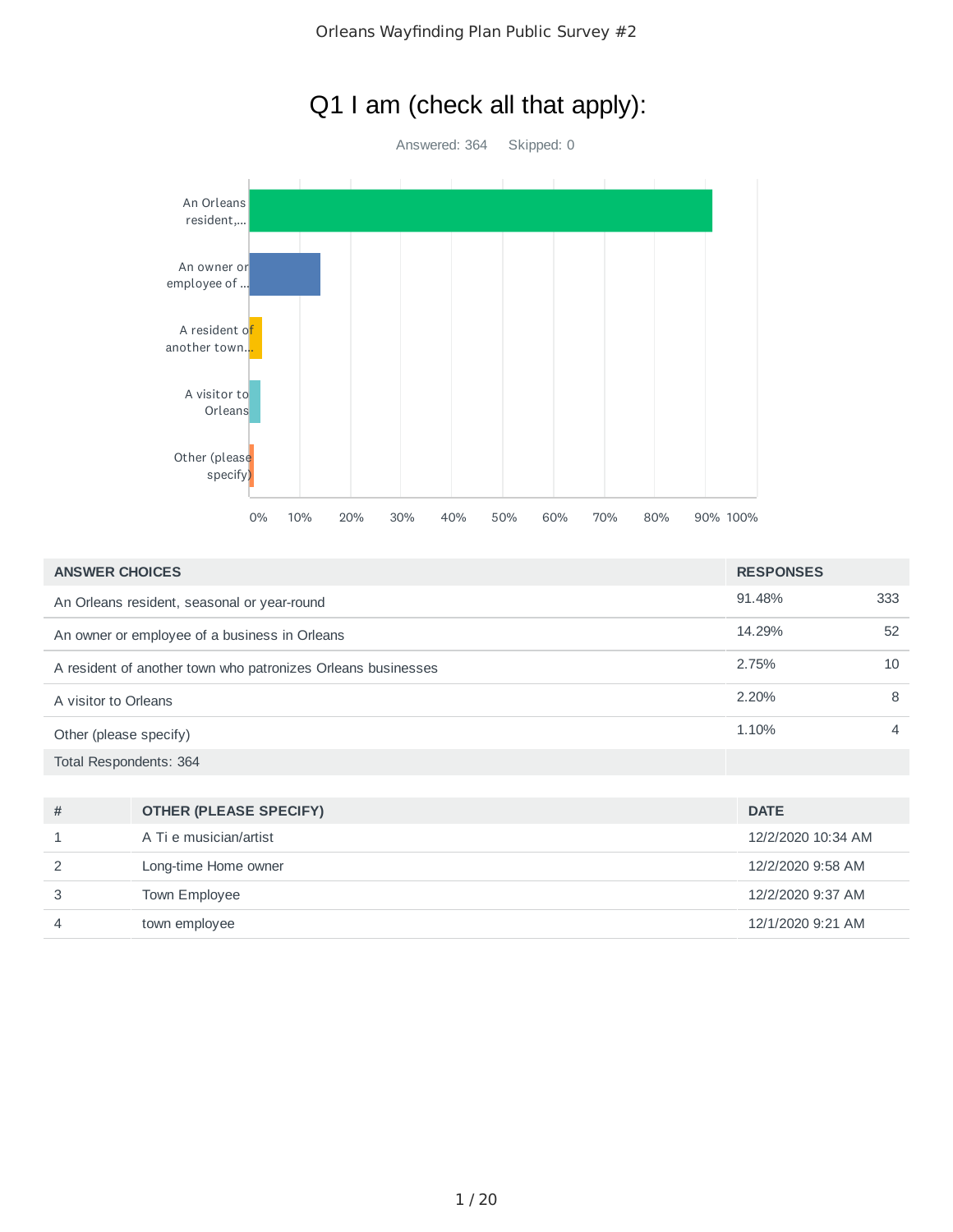

| <b>ANSWER CHOICES</b>                                        | <b>RESPONSES</b> |     |
|--------------------------------------------------------------|------------------|-----|
| An Orleans resident, seasonal or year-round                  | 91.48%           | 333 |
| An owner or employee of a business in Orleans                | 14.29%           | 52  |
| A resident of another town who patronizes Orleans businesses | 2.75%            | 10  |
| A visitor to Orleans                                         | 2.20%            | 8   |
| Other (please specify)                                       | 1.10%            | 4   |
| Total Respondents: 364                                       |                  |     |

| # | <b>OTHER (PLEASE SPECIFY)</b> | <b>DATE</b>        |
|---|-------------------------------|--------------------|
|   | A Ti e musician/artist        | 12/2/2020 10:34 AM |
|   | Long-time Home owner          | 12/2/2020 9:58 AM  |
|   | Town Employee                 | 12/2/2020 9:37 AM  |
| 4 | town employee                 | 12/1/2020 9:21 AM  |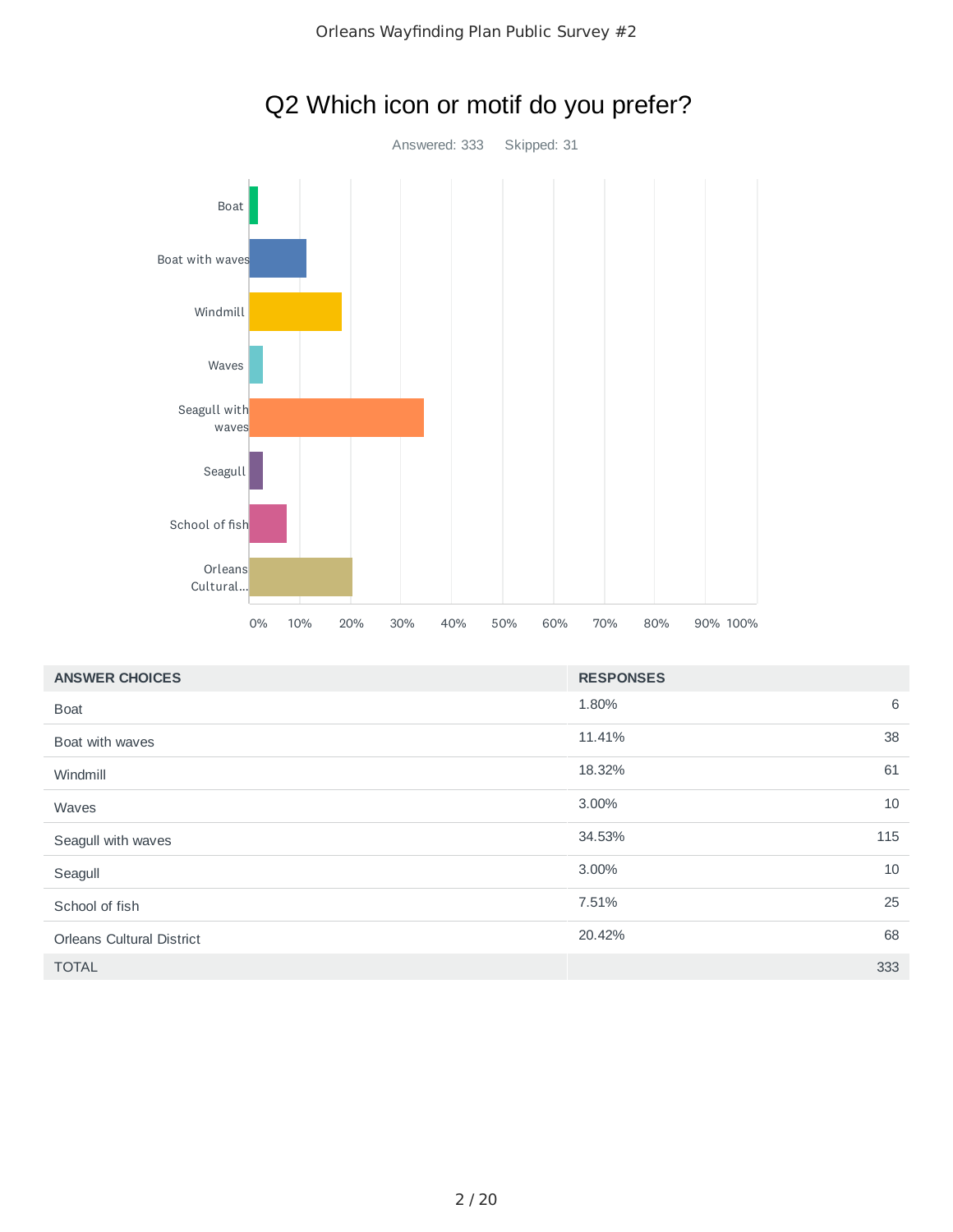

# Q2 Which icon or motif do you prefer?

| <b>ANSWER CHOICES</b><br><b>RESPONSES</b> |               |    |
|-------------------------------------------|---------------|----|
| <b>Boat</b>                               | 1.80%         | 6  |
| Boat with waves                           | 11.41%        | 38 |
| Windmill                                  | 18.32%        | 61 |
| Waves                                     | 3.00%         | 10 |
| Seagull with waves                        | 34.53%<br>115 |    |
| Seagull                                   | 3.00%         | 10 |
| School of fish                            | 7.51%         | 25 |
| <b>Orleans Cultural District</b>          | 20.42%        | 68 |
| <b>TOTAL</b>                              | 333           |    |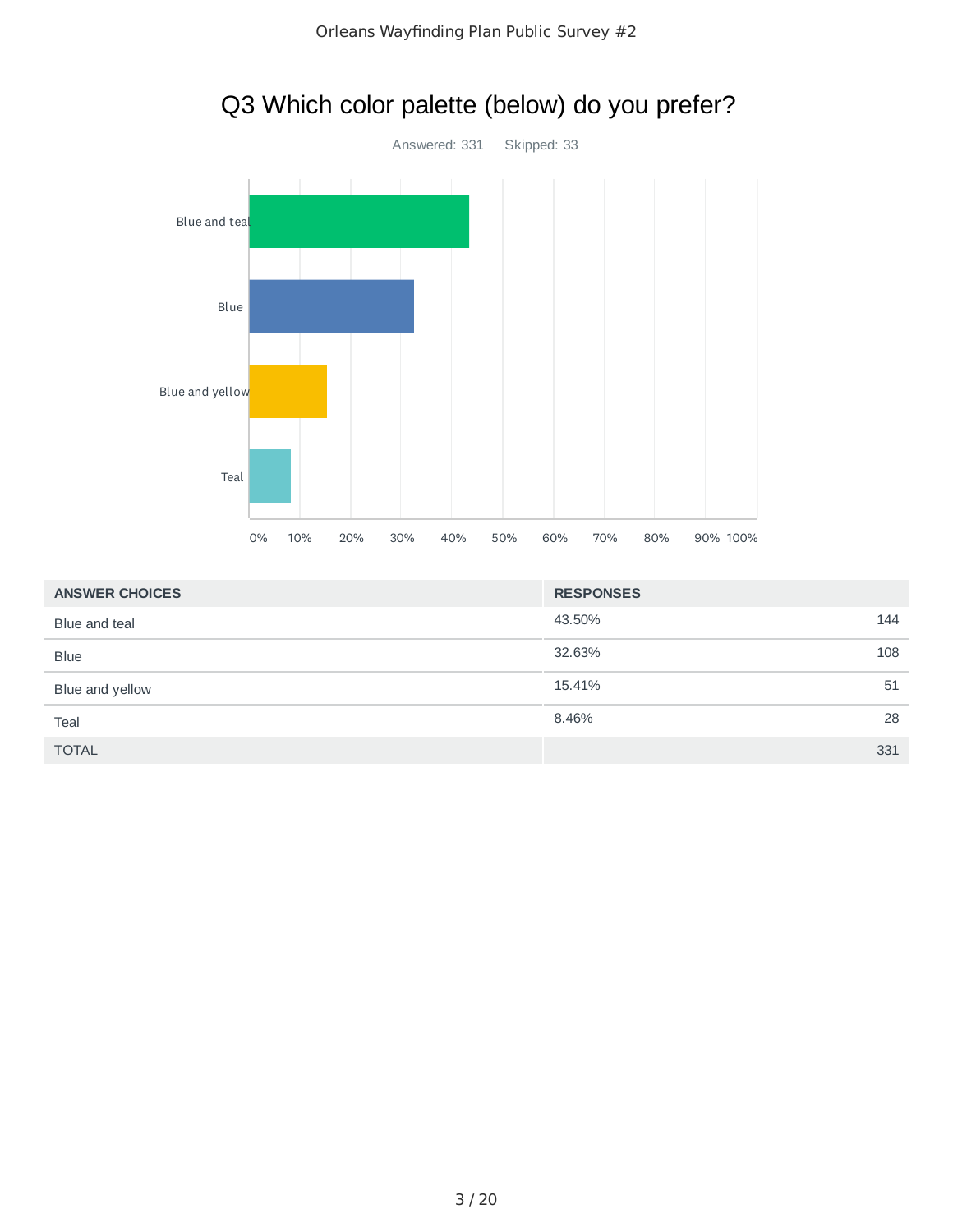

| <b>ANSWER CHOICES</b> | <b>RESPONSES</b> |     |
|-----------------------|------------------|-----|
| Blue and teal         | 43.50%           | 144 |
| <b>Blue</b>           | 32.63%           | 108 |
| Blue and yellow       | 15.41%           | 51  |
| Teal                  | 8.46%            | 28  |
| <b>TOTAL</b>          |                  | 331 |

# Q3 Which color palette (below) do you prefer?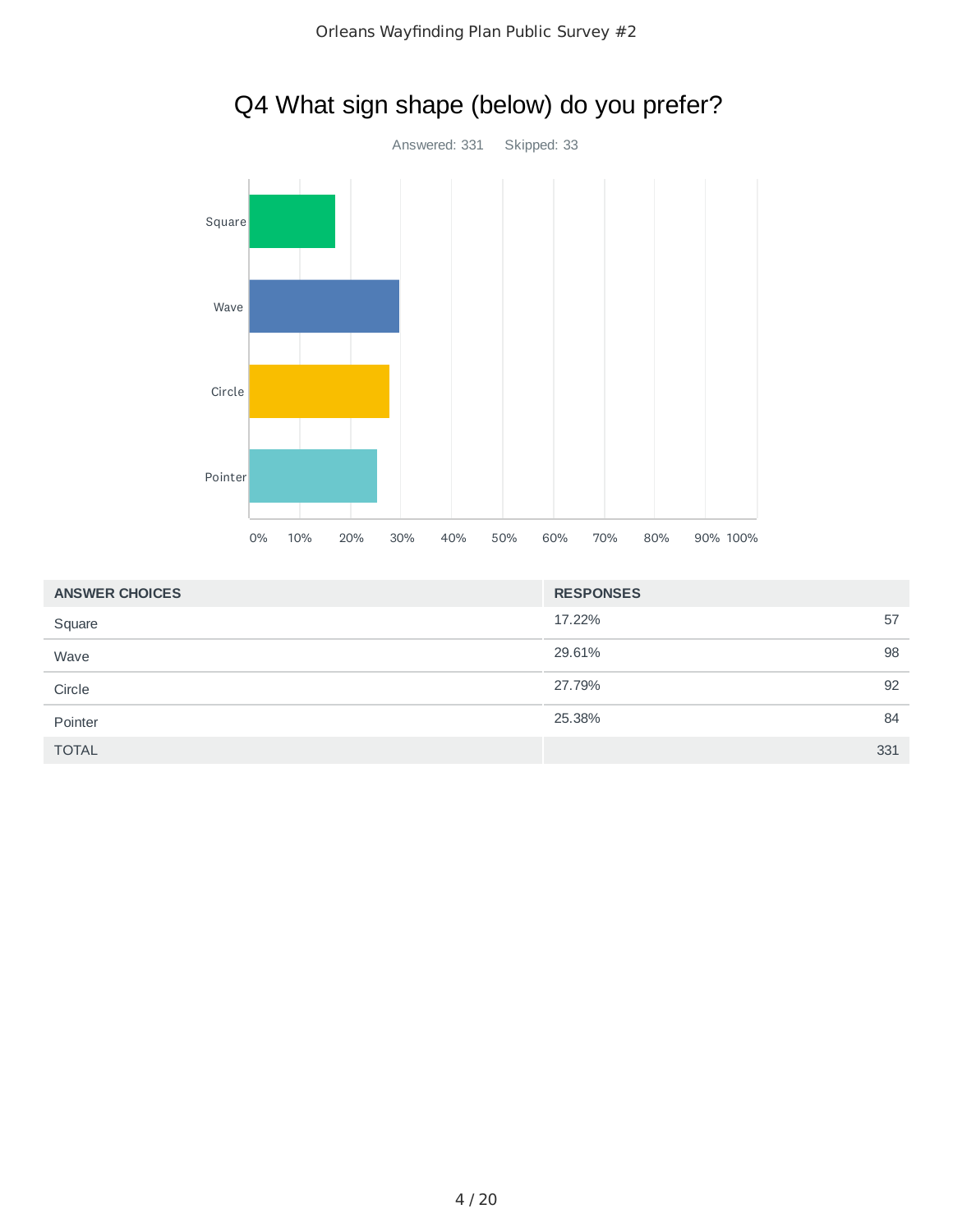

| <b>ANSWER CHOICES</b> | <b>RESPONSES</b> |     |
|-----------------------|------------------|-----|
| Square                | 17.22%           | 57  |
| Wave                  | 29.61%           | 98  |
| Circle                | 27.79%           | 92  |
| Pointer               | 25.38%           | 84  |
| <b>TOTAL</b>          |                  | 331 |

# Q4 What sign shape (below) do you prefer?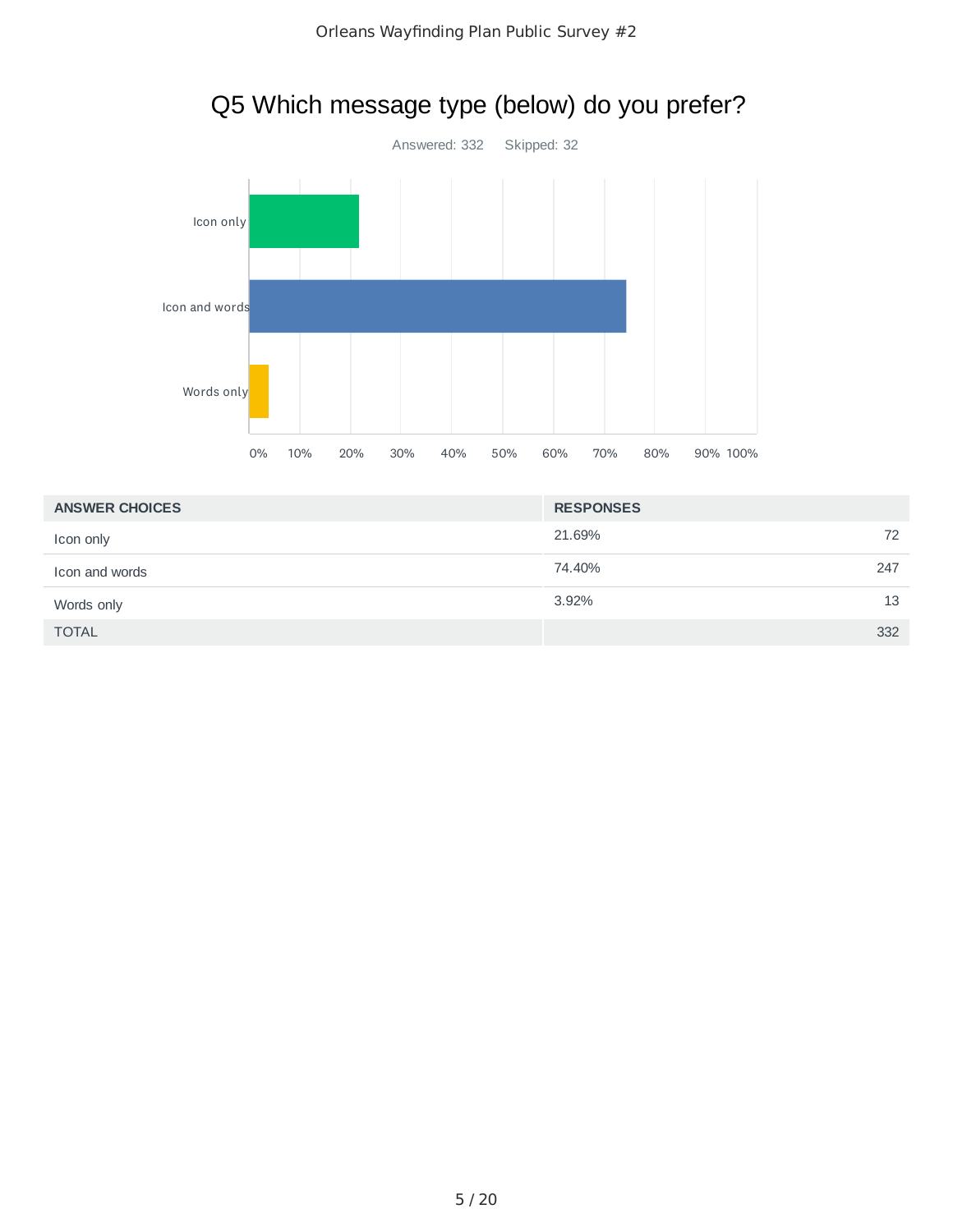

# Q5 Which message type (below) do you prefer?

| <b>ANSWER CHOICES</b> | <b>RESPONSES</b> |  |
|-----------------------|------------------|--|
| Icon only             | 21.69%<br>72     |  |
| Icon and words        | 74.40%<br>247    |  |
| Words only            | 13<br>3.92%      |  |
| <b>TOTAL</b>          | 332              |  |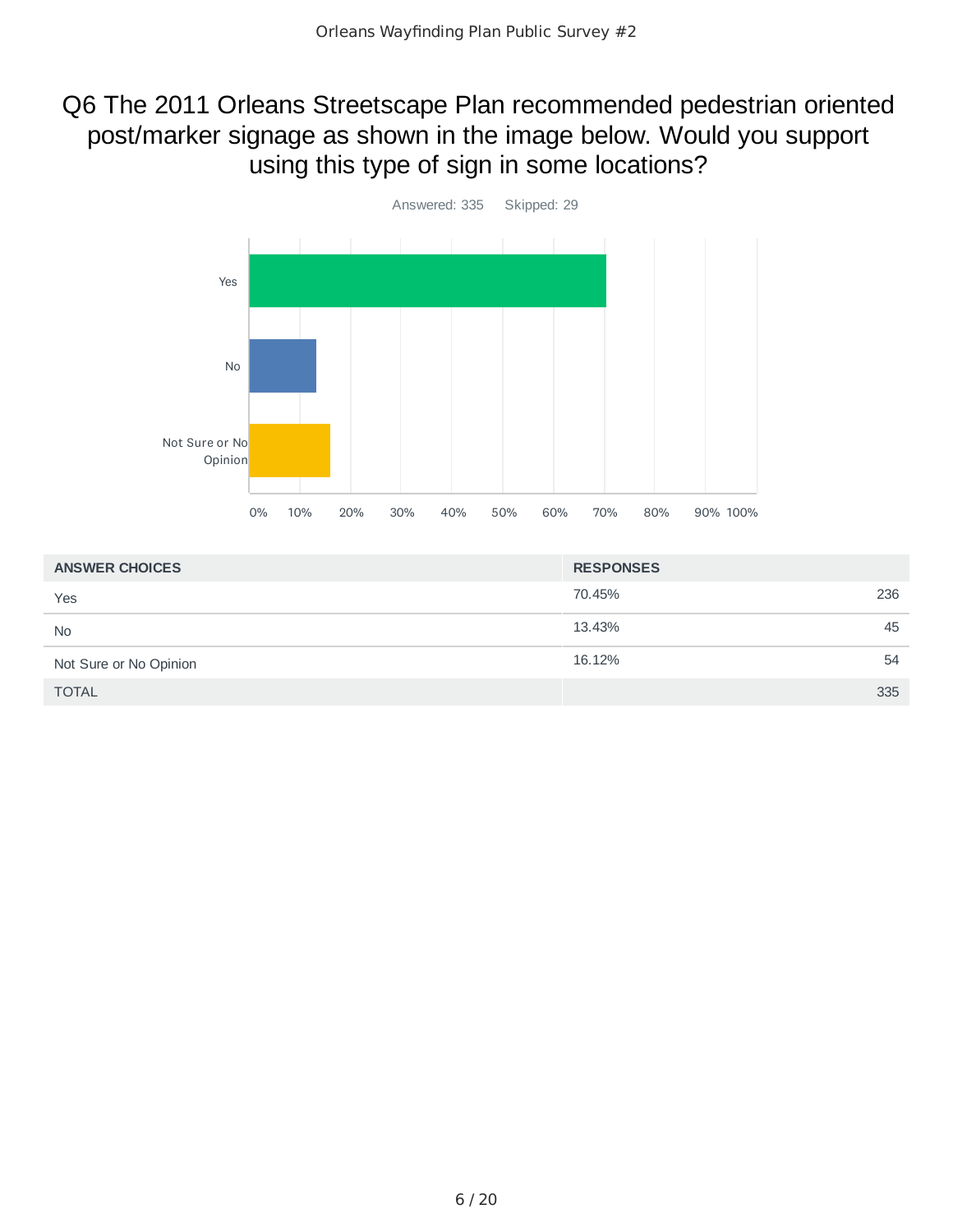### Q6 The 2011 Orleans Streetscape Plan recommended pedestrian oriented post/marker signage as shown in the image below. Would you support using this type of sign in some locations?



| <b>ANSWER CHOICES</b>  | <b>RESPONSES</b> |  |
|------------------------|------------------|--|
| Yes                    | 236<br>70.45%    |  |
| <b>No</b>              | 45<br>13.43%     |  |
| Not Sure or No Opinion | 16.12%<br>54     |  |
| <b>TOTAL</b>           | 335              |  |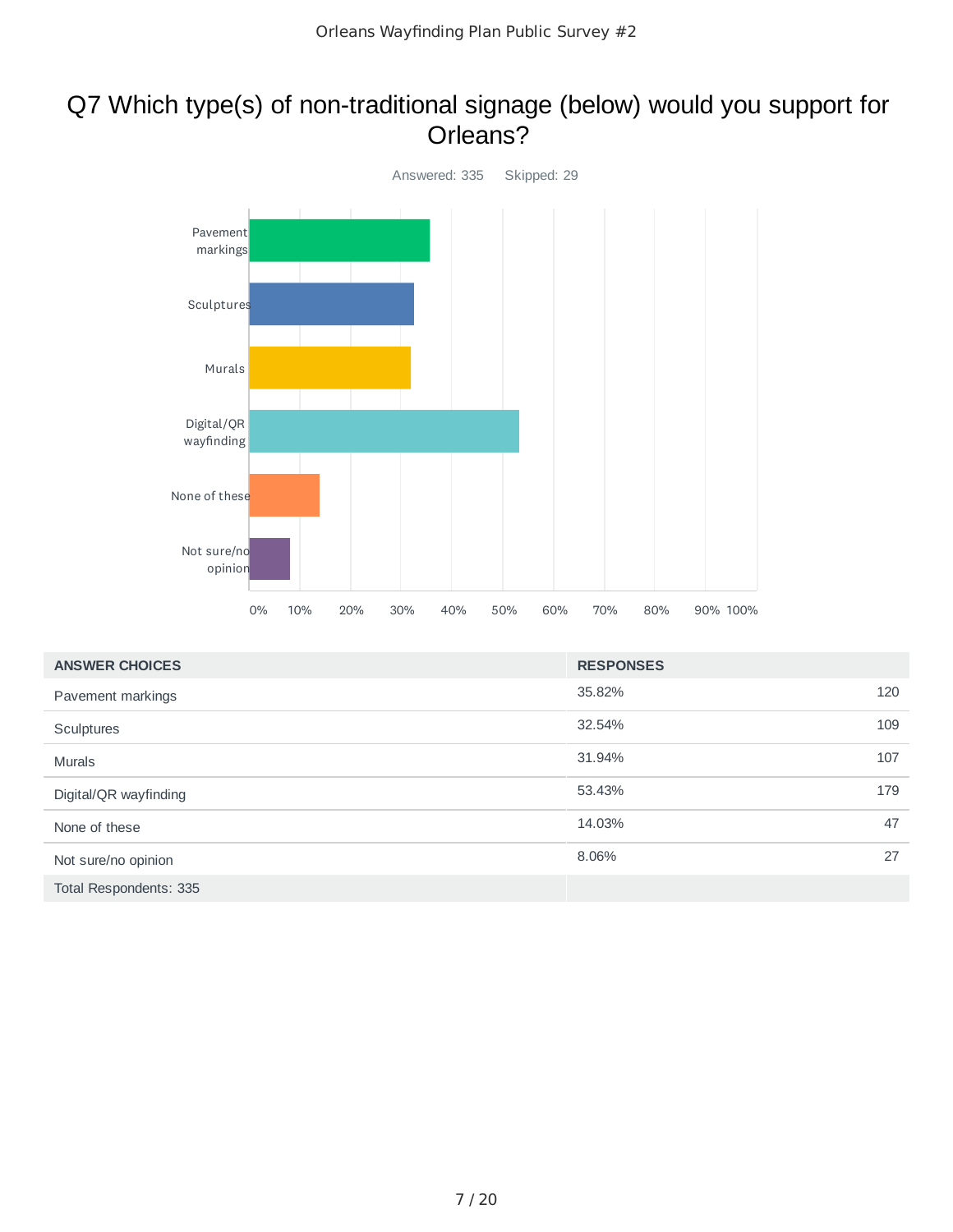### Q7 Which type(s) of non-traditional signage (below) would you support for Orleans?



| <b>ANSWER CHOICES</b>  | <b>RESPONSES</b> |     |
|------------------------|------------------|-----|
| Pavement markings      | 35.82%           | 120 |
| Sculptures             | 32.54%           | 109 |
| <b>Murals</b>          | 31.94%           | 107 |
| Digital/QR wayfinding  | 53.43%           | 179 |
| None of these          | 14.03%           | 47  |
| Not sure/no opinion    | 8.06%            | 27  |
| Total Respondents: 335 |                  |     |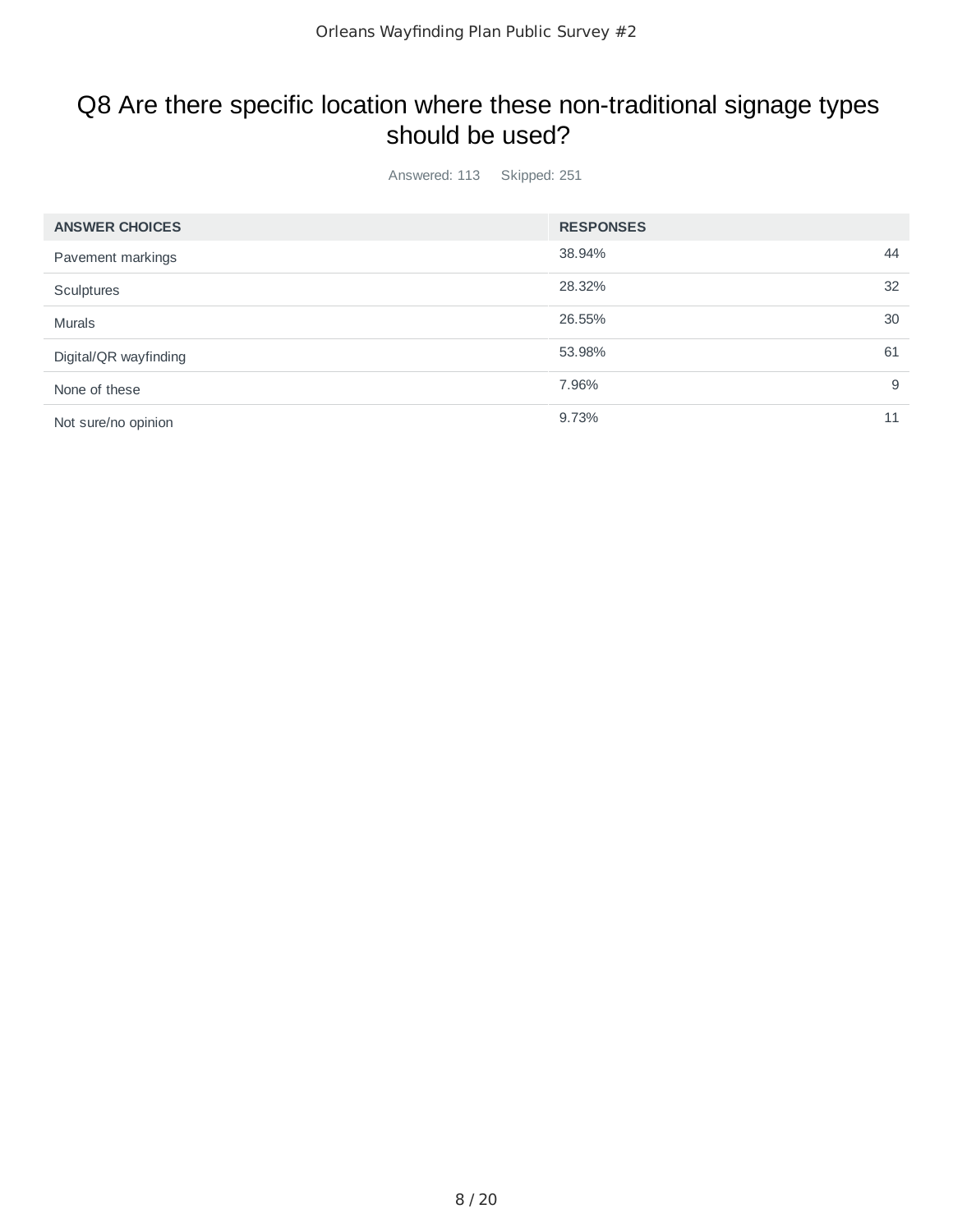### Q8 Are there specific location where these non-traditional signage types should be used?

Answered: 113 Skipped: 251

| <b>ANSWER CHOICES</b> | <b>RESPONSES</b> |    |
|-----------------------|------------------|----|
| Pavement markings     | 38.94%           | 44 |
| Sculptures            | 28.32%           | 32 |
| <b>Murals</b>         | 26.55%           | 30 |
| Digital/QR wayfinding | 53.98%           | 61 |
| None of these         | 7.96%            | 9  |
| Not sure/no opinion   | 9.73%            | 11 |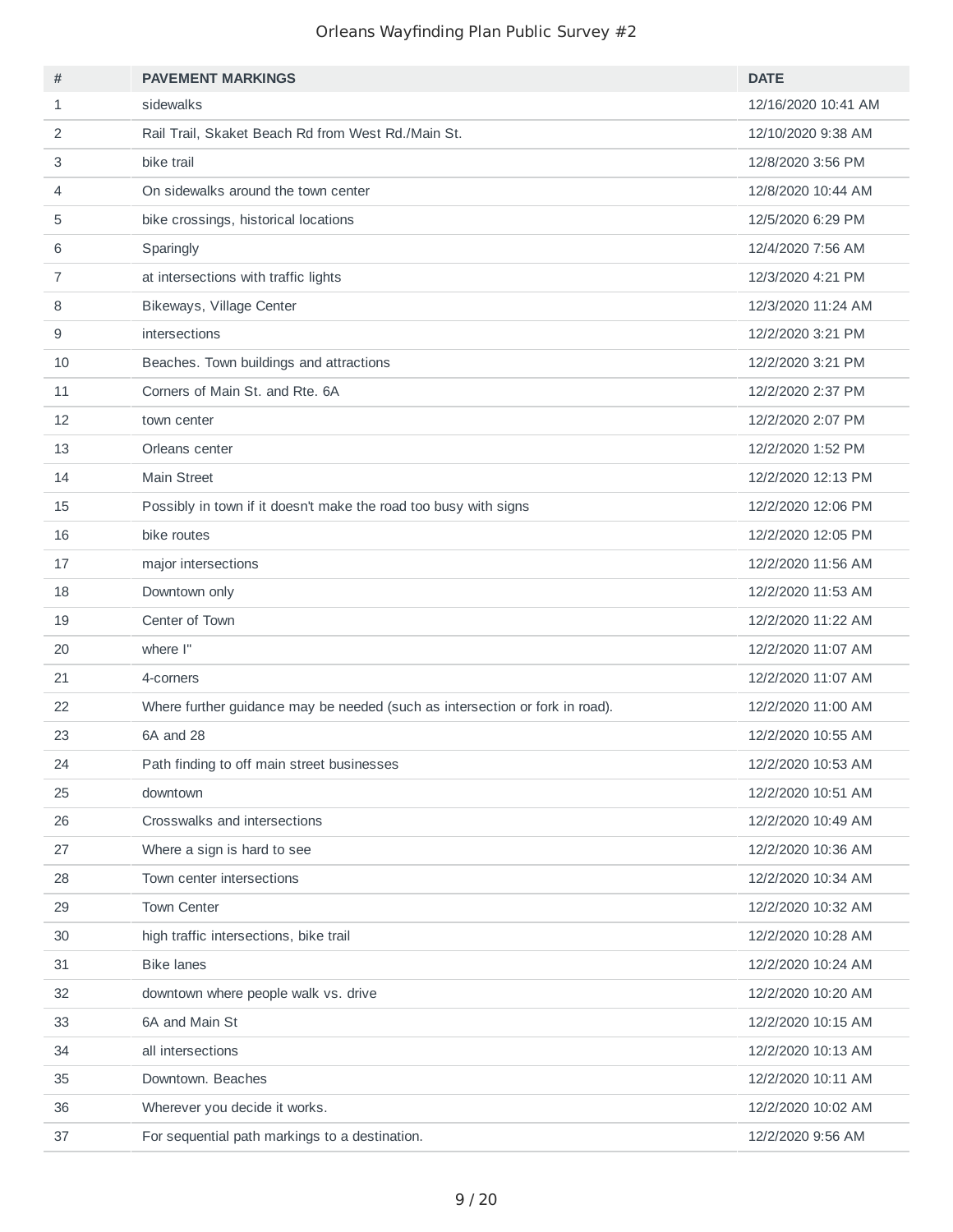| #            | <b>PAVEMENT MARKINGS</b>                                                     | <b>DATE</b>         |
|--------------|------------------------------------------------------------------------------|---------------------|
| $\mathbf{1}$ | sidewalks                                                                    | 12/16/2020 10:41 AM |
| 2            | Rail Trail, Skaket Beach Rd from West Rd./Main St.                           | 12/10/2020 9:38 AM  |
| 3            | bike trail                                                                   | 12/8/2020 3:56 PM   |
| 4            | On sidewalks around the town center                                          | 12/8/2020 10:44 AM  |
| 5            | bike crossings, historical locations                                         | 12/5/2020 6:29 PM   |
| 6            | Sparingly                                                                    | 12/4/2020 7:56 AM   |
| 7            | at intersections with traffic lights                                         | 12/3/2020 4:21 PM   |
| 8            | Bikeways, Village Center                                                     | 12/3/2020 11:24 AM  |
| 9            | intersections                                                                | 12/2/2020 3:21 PM   |
| 10           | Beaches. Town buildings and attractions                                      | 12/2/2020 3:21 PM   |
| 11           | Corners of Main St. and Rte. 6A                                              | 12/2/2020 2:37 PM   |
| 12           | town center                                                                  | 12/2/2020 2:07 PM   |
| 13           | Orleans center                                                               | 12/2/2020 1:52 PM   |
| 14           | <b>Main Street</b>                                                           | 12/2/2020 12:13 PM  |
| 15           | Possibly in town if it doesn't make the road too busy with signs             | 12/2/2020 12:06 PM  |
| 16           | bike routes                                                                  | 12/2/2020 12:05 PM  |
| 17           | major intersections                                                          | 12/2/2020 11:56 AM  |
| 18           | Downtown only                                                                | 12/2/2020 11:53 AM  |
| 19           | Center of Town                                                               | 12/2/2020 11:22 AM  |
| 20           | where I"                                                                     | 12/2/2020 11:07 AM  |
| 21           | 4-corners                                                                    | 12/2/2020 11:07 AM  |
| 22           | Where further guidance may be needed (such as intersection or fork in road). | 12/2/2020 11:00 AM  |
| 23           | 6A and 28                                                                    | 12/2/2020 10:55 AM  |
| 24           | Path finding to off main street businesses                                   | 12/2/2020 10:53 AM  |
| 25           | downtown                                                                     | 12/2/2020 10:51 AM  |
| 26           | Crosswalks and intersections                                                 | 12/2/2020 10:49 AM  |
| 27           | Where a sign is hard to see                                                  | 12/2/2020 10:36 AM  |
| 28           | Town center intersections                                                    | 12/2/2020 10:34 AM  |
| 29           | <b>Town Center</b>                                                           | 12/2/2020 10:32 AM  |
| 30           | high traffic intersections, bike trail                                       | 12/2/2020 10:28 AM  |
| 31           | <b>Bike lanes</b>                                                            | 12/2/2020 10:24 AM  |
| 32           | downtown where people walk vs. drive                                         | 12/2/2020 10:20 AM  |
| 33           | 6A and Main St                                                               | 12/2/2020 10:15 AM  |
| 34           | all intersections                                                            | 12/2/2020 10:13 AM  |
| 35           | Downtown. Beaches                                                            | 12/2/2020 10:11 AM  |
| 36           | Wherever you decide it works.                                                | 12/2/2020 10:02 AM  |
| 37           | For sequential path markings to a destination.                               | 12/2/2020 9:56 AM   |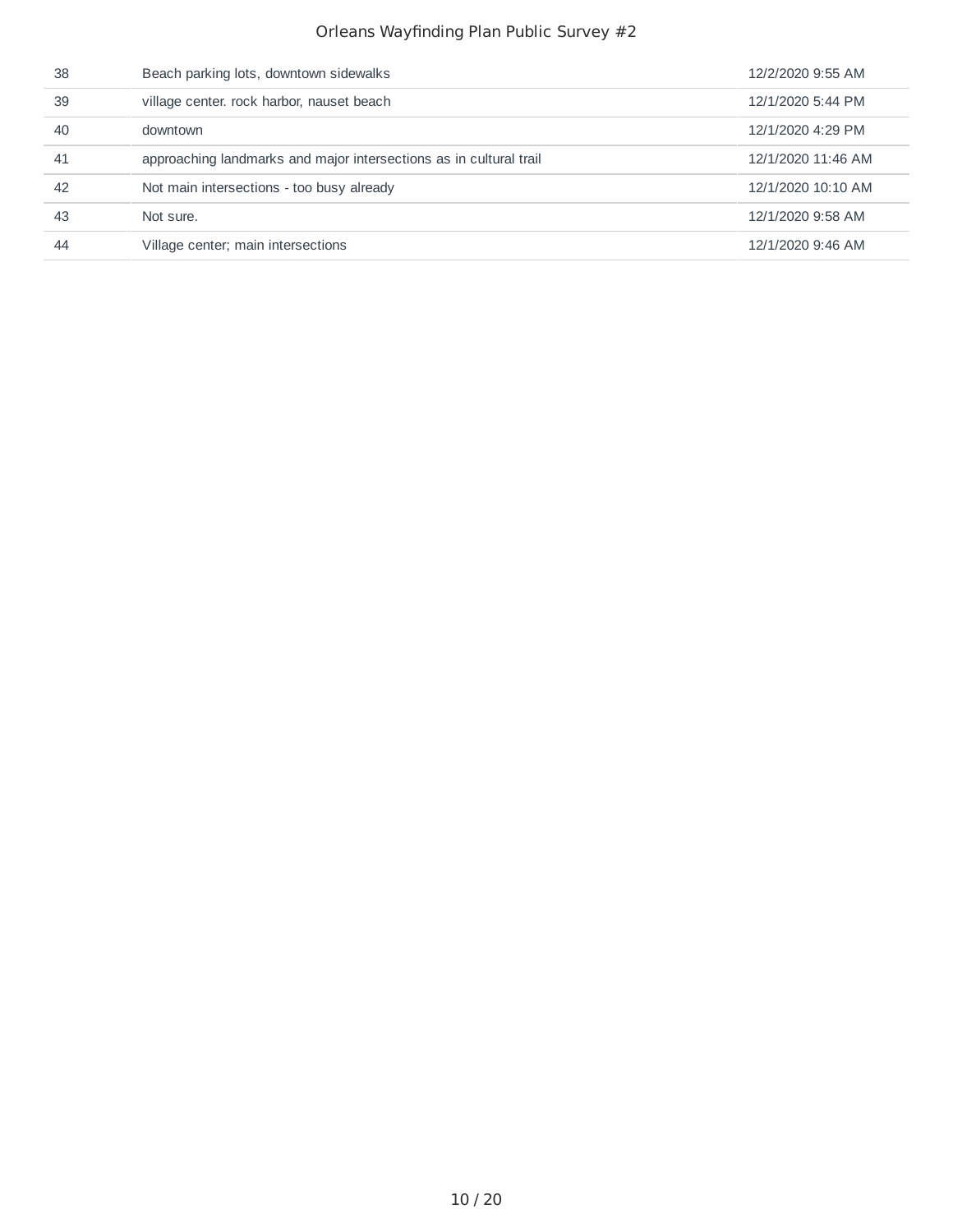| 38 | Beach parking lots, downtown sidewalks                             | 12/2/2020 9:55 AM  |
|----|--------------------------------------------------------------------|--------------------|
| 39 | village center. rock harbor, nauset beach                          | 12/1/2020 5:44 PM  |
| 40 | downtown                                                           | 12/1/2020 4:29 PM  |
| 41 | approaching landmarks and major intersections as in cultural trail | 12/1/2020 11:46 AM |
| 42 | Not main intersections - too busy already                          | 12/1/2020 10:10 AM |
| 43 | Not sure.                                                          | 12/1/2020 9:58 AM  |
| 44 | Village center; main intersections                                 | 12/1/2020 9:46 AM  |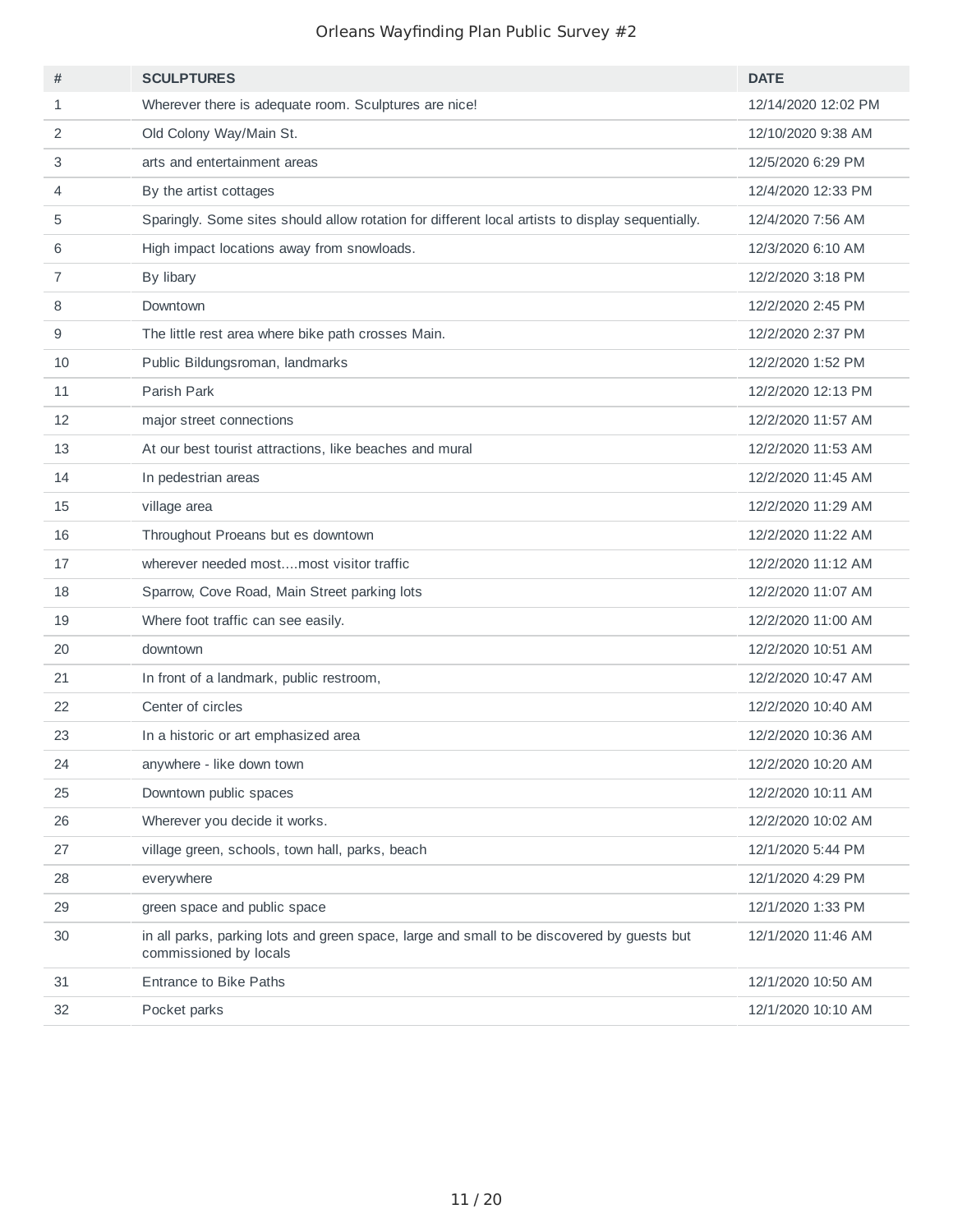| #            | <b>SCULPTURES</b>                                                                                                    | <b>DATE</b>         |
|--------------|----------------------------------------------------------------------------------------------------------------------|---------------------|
| $\mathbf{1}$ | Wherever there is adequate room. Sculptures are nice!                                                                | 12/14/2020 12:02 PM |
| 2            | Old Colony Way/Main St.                                                                                              | 12/10/2020 9:38 AM  |
| 3            | arts and entertainment areas                                                                                         | 12/5/2020 6:29 PM   |
| 4            | By the artist cottages                                                                                               | 12/4/2020 12:33 PM  |
| 5            | Sparingly. Some sites should allow rotation for different local artists to display sequentially.                     | 12/4/2020 7:56 AM   |
| 6            | High impact locations away from snowloads.                                                                           | 12/3/2020 6:10 AM   |
| 7            | By libary                                                                                                            | 12/2/2020 3:18 PM   |
| 8            | Downtown                                                                                                             | 12/2/2020 2:45 PM   |
| 9            | The little rest area where bike path crosses Main.                                                                   | 12/2/2020 2:37 PM   |
| 10           | Public Bildungsroman, landmarks                                                                                      | 12/2/2020 1:52 PM   |
| 11           | Parish Park                                                                                                          | 12/2/2020 12:13 PM  |
| 12           | major street connections                                                                                             | 12/2/2020 11:57 AM  |
| 13           | At our best tourist attractions, like beaches and mural                                                              | 12/2/2020 11:53 AM  |
| 14           | In pedestrian areas                                                                                                  | 12/2/2020 11:45 AM  |
| 15           | village area                                                                                                         | 12/2/2020 11:29 AM  |
| 16           | Throughout Proeans but es downtown                                                                                   | 12/2/2020 11:22 AM  |
| 17           | wherever needed mostmost visitor traffic                                                                             | 12/2/2020 11:12 AM  |
| 18           | Sparrow, Cove Road, Main Street parking lots                                                                         | 12/2/2020 11:07 AM  |
| 19           | Where foot traffic can see easily.                                                                                   | 12/2/2020 11:00 AM  |
| 20           | downtown                                                                                                             | 12/2/2020 10:51 AM  |
| 21           | In front of a landmark, public restroom,                                                                             | 12/2/2020 10:47 AM  |
| 22           | Center of circles                                                                                                    | 12/2/2020 10:40 AM  |
| 23           | In a historic or art emphasized area                                                                                 | 12/2/2020 10:36 AM  |
| 24           | anywhere - like down town                                                                                            | 12/2/2020 10:20 AM  |
| 25           | Downtown public spaces                                                                                               | 12/2/2020 10:11 AM  |
| 26           | Wherever you decide it works.                                                                                        | 12/2/2020 10:02 AM  |
| 27           | village green, schools, town hall, parks, beach                                                                      | 12/1/2020 5:44 PM   |
| 28           | everywhere                                                                                                           | 12/1/2020 4:29 PM   |
| 29           | green space and public space                                                                                         | 12/1/2020 1:33 PM   |
| 30           | in all parks, parking lots and green space, large and small to be discovered by guests but<br>commissioned by locals | 12/1/2020 11:46 AM  |
| 31           | <b>Entrance to Bike Paths</b>                                                                                        | 12/1/2020 10:50 AM  |
| 32           | Pocket parks                                                                                                         | 12/1/2020 10:10 AM  |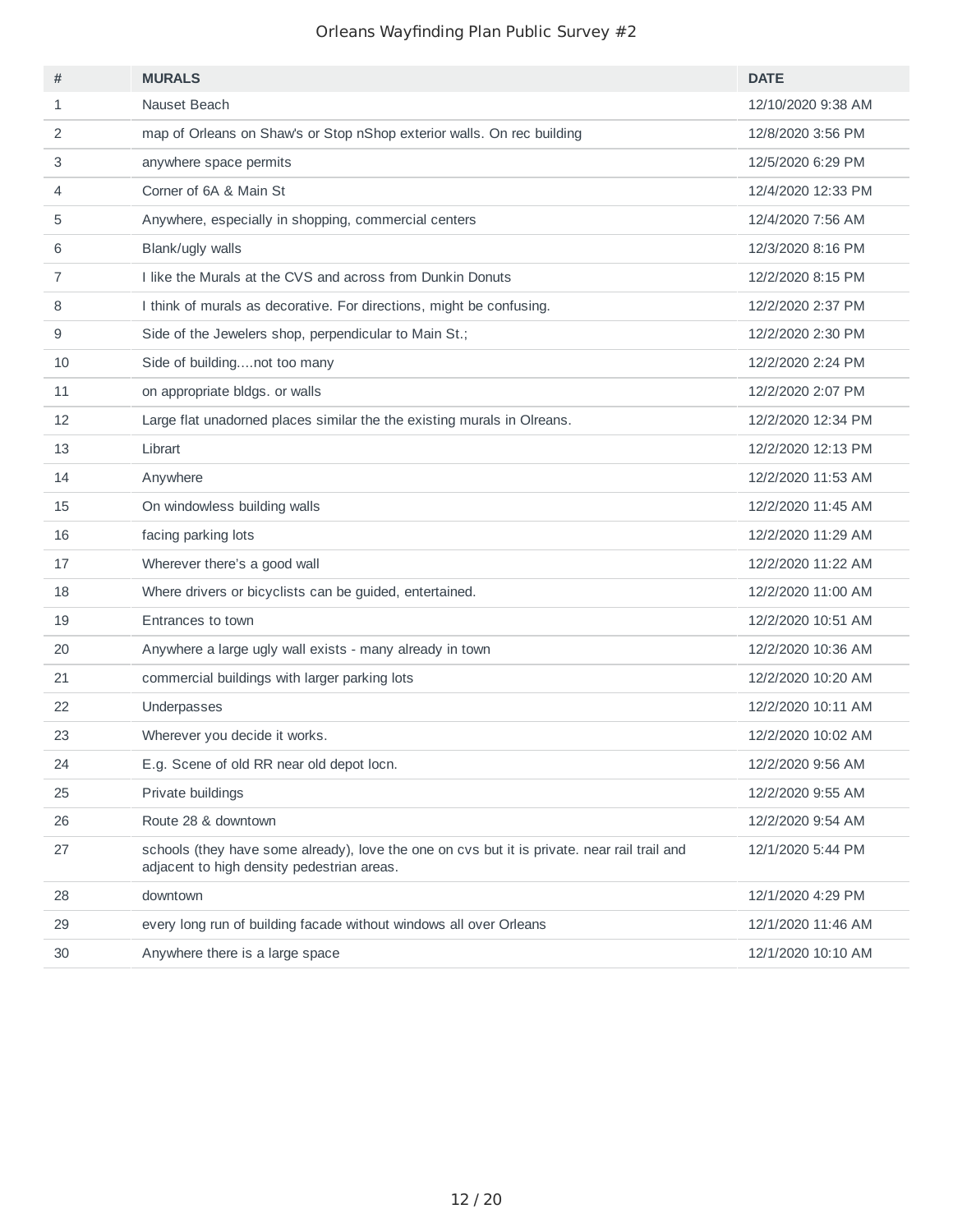| #  | <b>MURALS</b>                                                                                                                              | <b>DATE</b>        |
|----|--------------------------------------------------------------------------------------------------------------------------------------------|--------------------|
| 1  | Nauset Beach                                                                                                                               | 12/10/2020 9:38 AM |
| 2  | map of Orleans on Shaw's or Stop nShop exterior walls. On rec building                                                                     | 12/8/2020 3:56 PM  |
| 3  | anywhere space permits                                                                                                                     | 12/5/2020 6:29 PM  |
| 4  | Corner of 6A & Main St                                                                                                                     | 12/4/2020 12:33 PM |
| 5  | Anywhere, especially in shopping, commercial centers                                                                                       | 12/4/2020 7:56 AM  |
| 6  | Blank/ugly walls                                                                                                                           | 12/3/2020 8:16 PM  |
| 7  | I like the Murals at the CVS and across from Dunkin Donuts                                                                                 | 12/2/2020 8:15 PM  |
| 8  | I think of murals as decorative. For directions, might be confusing.                                                                       | 12/2/2020 2:37 PM  |
| 9  | Side of the Jewelers shop, perpendicular to Main St.;                                                                                      | 12/2/2020 2:30 PM  |
| 10 | Side of buildingnot too many                                                                                                               | 12/2/2020 2:24 PM  |
| 11 | on appropriate bldgs. or walls                                                                                                             | 12/2/2020 2:07 PM  |
| 12 | Large flat unadorned places similar the the existing murals in Olreans.                                                                    | 12/2/2020 12:34 PM |
| 13 | Librart                                                                                                                                    | 12/2/2020 12:13 PM |
| 14 | Anywhere                                                                                                                                   | 12/2/2020 11:53 AM |
| 15 | On windowless building walls                                                                                                               | 12/2/2020 11:45 AM |
| 16 | facing parking lots                                                                                                                        | 12/2/2020 11:29 AM |
| 17 | Wherever there's a good wall                                                                                                               | 12/2/2020 11:22 AM |
| 18 | Where drivers or bicyclists can be guided, entertained.                                                                                    | 12/2/2020 11:00 AM |
| 19 | Entrances to town                                                                                                                          | 12/2/2020 10:51 AM |
| 20 | Anywhere a large ugly wall exists - many already in town                                                                                   | 12/2/2020 10:36 AM |
| 21 | commercial buildings with larger parking lots                                                                                              | 12/2/2020 10:20 AM |
| 22 | Underpasses                                                                                                                                | 12/2/2020 10:11 AM |
| 23 | Wherever you decide it works.                                                                                                              | 12/2/2020 10:02 AM |
| 24 | E.g. Scene of old RR near old depot locn.                                                                                                  | 12/2/2020 9:56 AM  |
| 25 | Private buildings                                                                                                                          | 12/2/2020 9:55 AM  |
| 26 | Route 28 & downtown                                                                                                                        | 12/2/2020 9:54 AM  |
| 27 | schools (they have some already), love the one on cvs but it is private. near rail trail and<br>adjacent to high density pedestrian areas. | 12/1/2020 5:44 PM  |
| 28 | downtown                                                                                                                                   | 12/1/2020 4:29 PM  |
| 29 | every long run of building facade without windows all over Orleans                                                                         | 12/1/2020 11:46 AM |
| 30 | Anywhere there is a large space                                                                                                            | 12/1/2020 10:10 AM |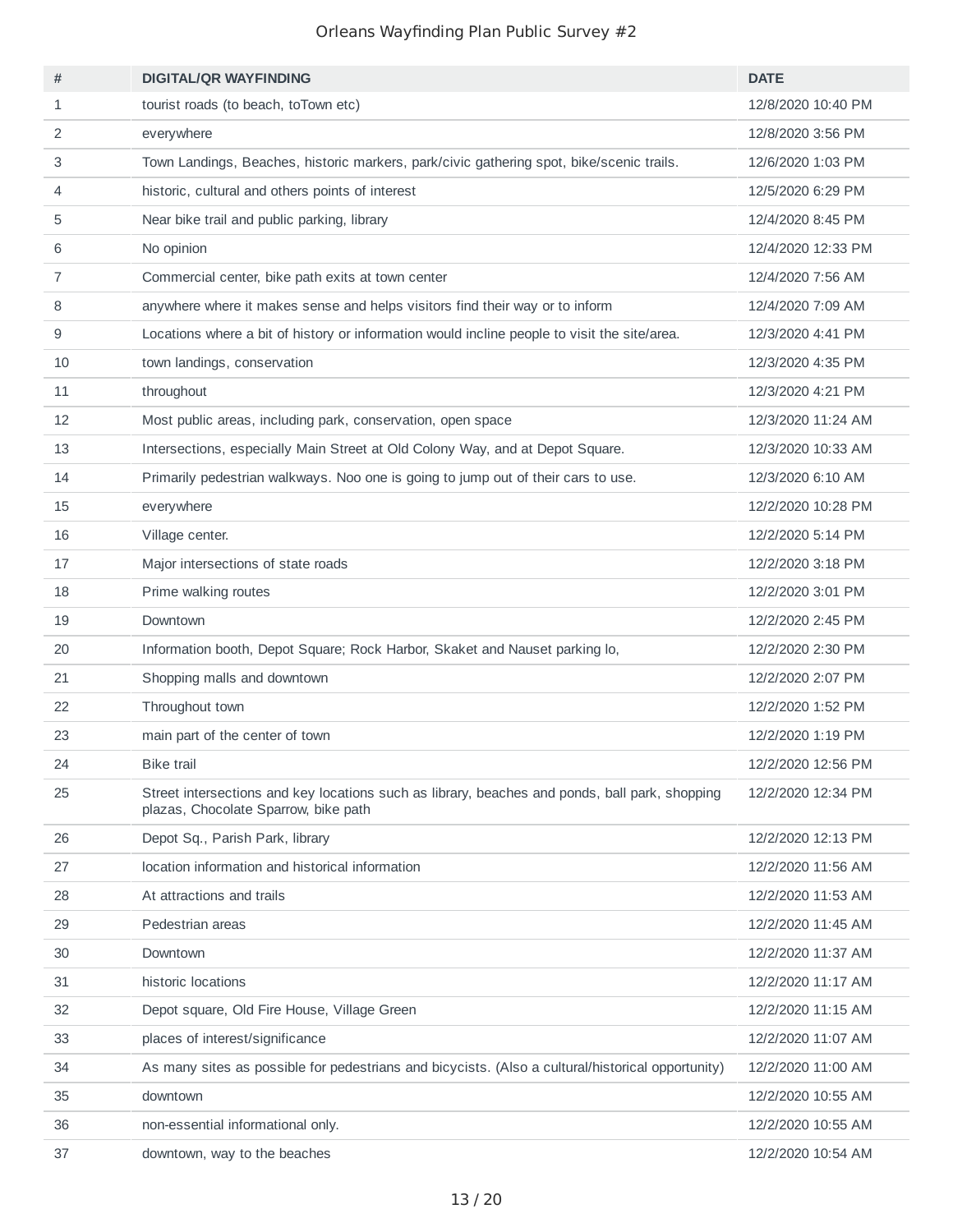| #              | <b>DIGITAL/QR WAYFINDING</b>                                                                                                           | <b>DATE</b>        |
|----------------|----------------------------------------------------------------------------------------------------------------------------------------|--------------------|
| $\mathbf{1}$   | tourist roads (to beach, to Town etc)                                                                                                  | 12/8/2020 10:40 PM |
| 2              | everywhere                                                                                                                             | 12/8/2020 3:56 PM  |
| 3              | Town Landings, Beaches, historic markers, park/civic gathering spot, bike/scenic trails.                                               | 12/6/2020 1:03 PM  |
| 4              | historic, cultural and others points of interest                                                                                       | 12/5/2020 6:29 PM  |
| 5              | Near bike trail and public parking, library                                                                                            | 12/4/2020 8:45 PM  |
| 6              | No opinion                                                                                                                             | 12/4/2020 12:33 PM |
| $\overline{7}$ | Commercial center, bike path exits at town center                                                                                      | 12/4/2020 7:56 AM  |
| 8              | anywhere where it makes sense and helps visitors find their way or to inform                                                           | 12/4/2020 7:09 AM  |
| 9              | Locations where a bit of history or information would incline people to visit the site/area.                                           | 12/3/2020 4:41 PM  |
| 10             | town landings, conservation                                                                                                            | 12/3/2020 4:35 PM  |
| 11             | throughout                                                                                                                             | 12/3/2020 4:21 PM  |
| 12             | Most public areas, including park, conservation, open space                                                                            | 12/3/2020 11:24 AM |
| 13             | Intersections, especially Main Street at Old Colony Way, and at Depot Square.                                                          | 12/3/2020 10:33 AM |
| 14             | Primarily pedestrian walkways. Noo one is going to jump out of their cars to use.                                                      | 12/3/2020 6:10 AM  |
| 15             | everywhere                                                                                                                             | 12/2/2020 10:28 PM |
| 16             | Village center.                                                                                                                        | 12/2/2020 5:14 PM  |
| 17             | Major intersections of state roads                                                                                                     | 12/2/2020 3:18 PM  |
| 18             | Prime walking routes                                                                                                                   | 12/2/2020 3:01 PM  |
| 19             | Downtown                                                                                                                               | 12/2/2020 2:45 PM  |
| 20             | Information booth, Depot Square; Rock Harbor, Skaket and Nauset parking lo,                                                            | 12/2/2020 2:30 PM  |
| 21             | Shopping malls and downtown                                                                                                            | 12/2/2020 2:07 PM  |
| 22             | Throughout town                                                                                                                        | 12/2/2020 1:52 PM  |
| 23             | main part of the center of town                                                                                                        | 12/2/2020 1:19 PM  |
| 24             | <b>Bike trail</b>                                                                                                                      | 12/2/2020 12:56 PM |
| 25             | Street intersections and key locations such as library, beaches and ponds, ball park, shopping<br>plazas, Chocolate Sparrow, bike path | 12/2/2020 12:34 PM |
| 26             | Depot Sq., Parish Park, library                                                                                                        | 12/2/2020 12:13 PM |
| 27             | location information and historical information                                                                                        | 12/2/2020 11:56 AM |
| 28             | At attractions and trails                                                                                                              | 12/2/2020 11:53 AM |
| 29             | Pedestrian areas                                                                                                                       | 12/2/2020 11:45 AM |
| 30             | Downtown                                                                                                                               | 12/2/2020 11:37 AM |
| 31             | historic locations                                                                                                                     | 12/2/2020 11:17 AM |
| 32             | Depot square, Old Fire House, Village Green                                                                                            | 12/2/2020 11:15 AM |
| 33             | places of interest/significance                                                                                                        | 12/2/2020 11:07 AM |
| 34             | As many sites as possible for pedestrians and bicycists. (Also a cultural/historical opportunity)                                      | 12/2/2020 11:00 AM |
| 35             | downtown                                                                                                                               | 12/2/2020 10:55 AM |
| 36             | non-essential informational only.                                                                                                      | 12/2/2020 10:55 AM |
| 37             | downtown, way to the beaches                                                                                                           | 12/2/2020 10:54 AM |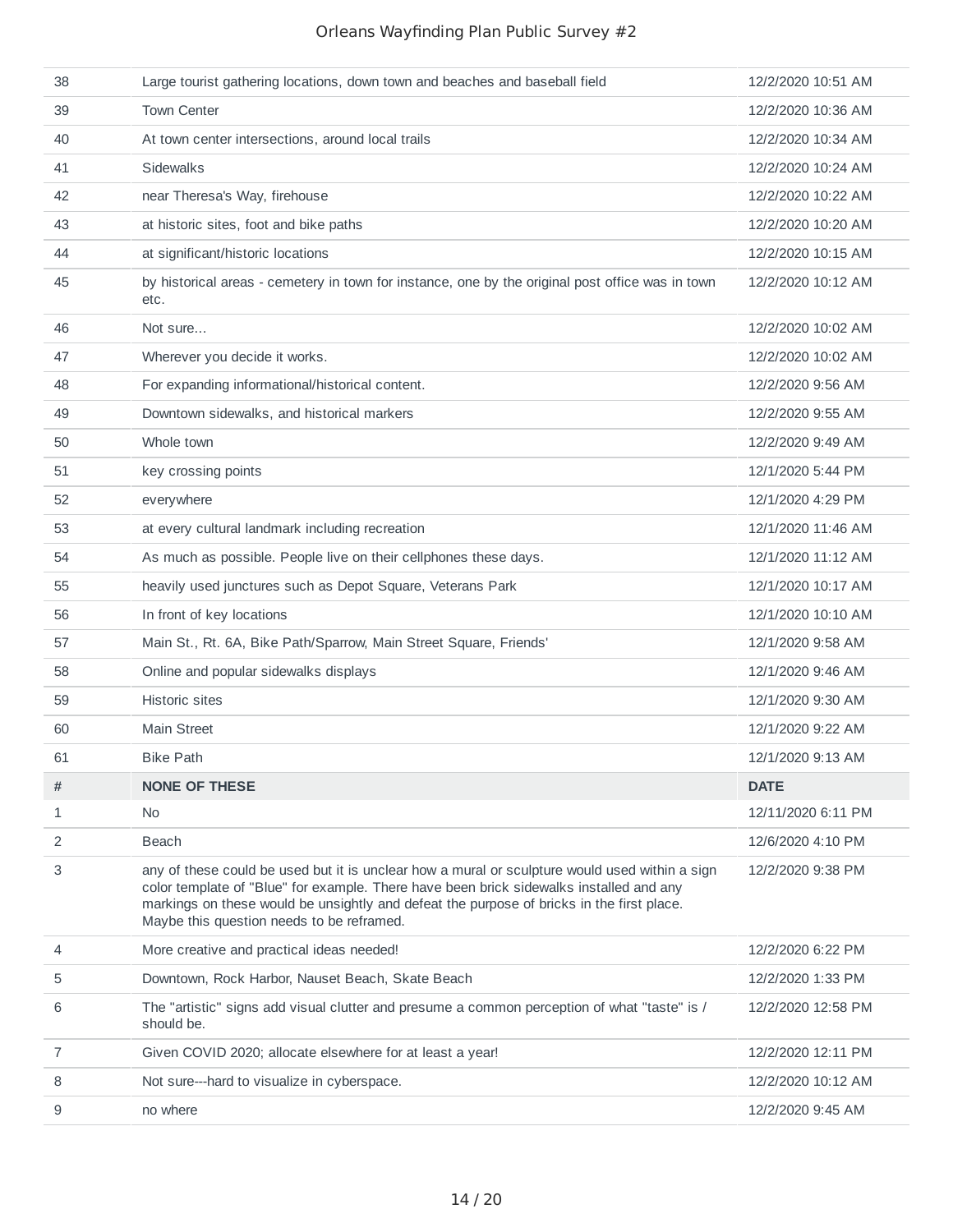| 38             | Large tourist gathering locations, down town and beaches and baseball field                                                                                                                                                                                                                                                         | 12/2/2020 10:51 AM |
|----------------|-------------------------------------------------------------------------------------------------------------------------------------------------------------------------------------------------------------------------------------------------------------------------------------------------------------------------------------|--------------------|
| 39             | <b>Town Center</b>                                                                                                                                                                                                                                                                                                                  | 12/2/2020 10:36 AM |
| 40             | At town center intersections, around local trails                                                                                                                                                                                                                                                                                   | 12/2/2020 10:34 AM |
| 41             | <b>Sidewalks</b>                                                                                                                                                                                                                                                                                                                    | 12/2/2020 10:24 AM |
| 42             | near Theresa's Way, firehouse                                                                                                                                                                                                                                                                                                       | 12/2/2020 10:22 AM |
| 43             | at historic sites, foot and bike paths                                                                                                                                                                                                                                                                                              | 12/2/2020 10:20 AM |
| 44             | at significant/historic locations                                                                                                                                                                                                                                                                                                   | 12/2/2020 10:15 AM |
| 45             | by historical areas - cemetery in town for instance, one by the original post office was in town<br>etc.                                                                                                                                                                                                                            | 12/2/2020 10:12 AM |
| 46             | Not sure                                                                                                                                                                                                                                                                                                                            | 12/2/2020 10:02 AM |
| 47             | Wherever you decide it works.                                                                                                                                                                                                                                                                                                       | 12/2/2020 10:02 AM |
| 48             | For expanding informational/historical content.                                                                                                                                                                                                                                                                                     | 12/2/2020 9:56 AM  |
| 49             | Downtown sidewalks, and historical markers                                                                                                                                                                                                                                                                                          | 12/2/2020 9:55 AM  |
| 50             | Whole town                                                                                                                                                                                                                                                                                                                          | 12/2/2020 9:49 AM  |
| 51             | key crossing points                                                                                                                                                                                                                                                                                                                 | 12/1/2020 5:44 PM  |
| 52             | everywhere                                                                                                                                                                                                                                                                                                                          | 12/1/2020 4:29 PM  |
| 53             | at every cultural landmark including recreation                                                                                                                                                                                                                                                                                     | 12/1/2020 11:46 AM |
| 54             | As much as possible. People live on their cellphones these days.                                                                                                                                                                                                                                                                    | 12/1/2020 11:12 AM |
| 55             | heavily used junctures such as Depot Square, Veterans Park                                                                                                                                                                                                                                                                          | 12/1/2020 10:17 AM |
| 56             | In front of key locations                                                                                                                                                                                                                                                                                                           | 12/1/2020 10:10 AM |
| 57             | Main St., Rt. 6A, Bike Path/Sparrow, Main Street Square, Friends'                                                                                                                                                                                                                                                                   | 12/1/2020 9:58 AM  |
| 58             | Online and popular sidewalks displays                                                                                                                                                                                                                                                                                               | 12/1/2020 9:46 AM  |
| 59             | <b>Historic sites</b>                                                                                                                                                                                                                                                                                                               | 12/1/2020 9:30 AM  |
| 60             | <b>Main Street</b>                                                                                                                                                                                                                                                                                                                  | 12/1/2020 9:22 AM  |
| 61             | <b>Bike Path</b>                                                                                                                                                                                                                                                                                                                    | 12/1/2020 9:13 AM  |
| #              | <b>NONE OF THESE</b>                                                                                                                                                                                                                                                                                                                | <b>DATE</b>        |
| 1              | No.                                                                                                                                                                                                                                                                                                                                 | 12/11/2020 6:11 PM |
| 2              | <b>Beach</b>                                                                                                                                                                                                                                                                                                                        | 12/6/2020 4:10 PM  |
| 3              | any of these could be used but it is unclear how a mural or sculpture would used within a sign<br>color template of "Blue" for example. There have been brick sidewalks installed and any<br>markings on these would be unsightly and defeat the purpose of bricks in the first place.<br>Maybe this question needs to be reframed. | 12/2/2020 9:38 PM  |
| 4              | More creative and practical ideas needed!                                                                                                                                                                                                                                                                                           | 12/2/2020 6:22 PM  |
| 5              | Downtown, Rock Harbor, Nauset Beach, Skate Beach                                                                                                                                                                                                                                                                                    | 12/2/2020 1:33 PM  |
| 6              | The "artistic" signs add visual clutter and presume a common perception of what "taste" is /<br>should be.                                                                                                                                                                                                                          | 12/2/2020 12:58 PM |
| $\overline{7}$ | Given COVID 2020; allocate elsewhere for at least a year!                                                                                                                                                                                                                                                                           | 12/2/2020 12:11 PM |
| 8              | Not sure---hard to visualize in cyberspace.                                                                                                                                                                                                                                                                                         | 12/2/2020 10:12 AM |
| 9              | no where                                                                                                                                                                                                                                                                                                                            | 12/2/2020 9:45 AM  |
|                |                                                                                                                                                                                                                                                                                                                                     |                    |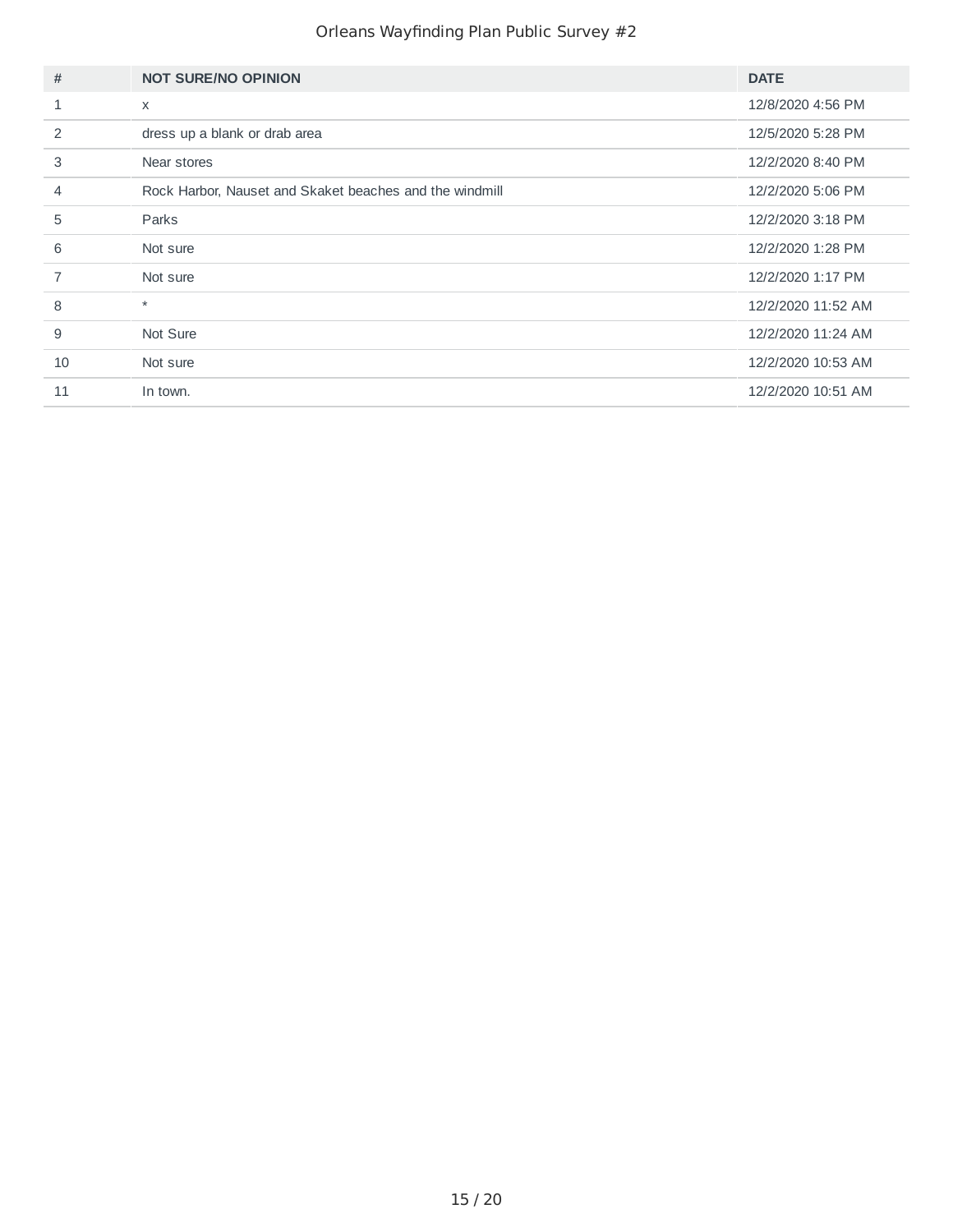| #              | <b>NOT SURE/NO OPINION</b>                              | <b>DATE</b>        |
|----------------|---------------------------------------------------------|--------------------|
| $\mathbf{1}$   | $\times$                                                | 12/8/2020 4:56 PM  |
| 2              | dress up a blank or drab area                           | 12/5/2020 5:28 PM  |
| 3              | Near stores                                             | 12/2/2020 8:40 PM  |
| $\overline{4}$ | Rock Harbor, Nauset and Skaket beaches and the windmill | 12/2/2020 5:06 PM  |
| 5              | Parks                                                   | 12/2/2020 3:18 PM  |
| 6              | Not sure                                                | 12/2/2020 1:28 PM  |
| $\overline{7}$ | Not sure                                                | 12/2/2020 1:17 PM  |
| 8              | $\star$                                                 | 12/2/2020 11:52 AM |
| 9              | Not Sure                                                | 12/2/2020 11:24 AM |
| 10             | Not sure                                                | 12/2/2020 10:53 AM |
| 11             | In town.                                                | 12/2/2020 10:51 AM |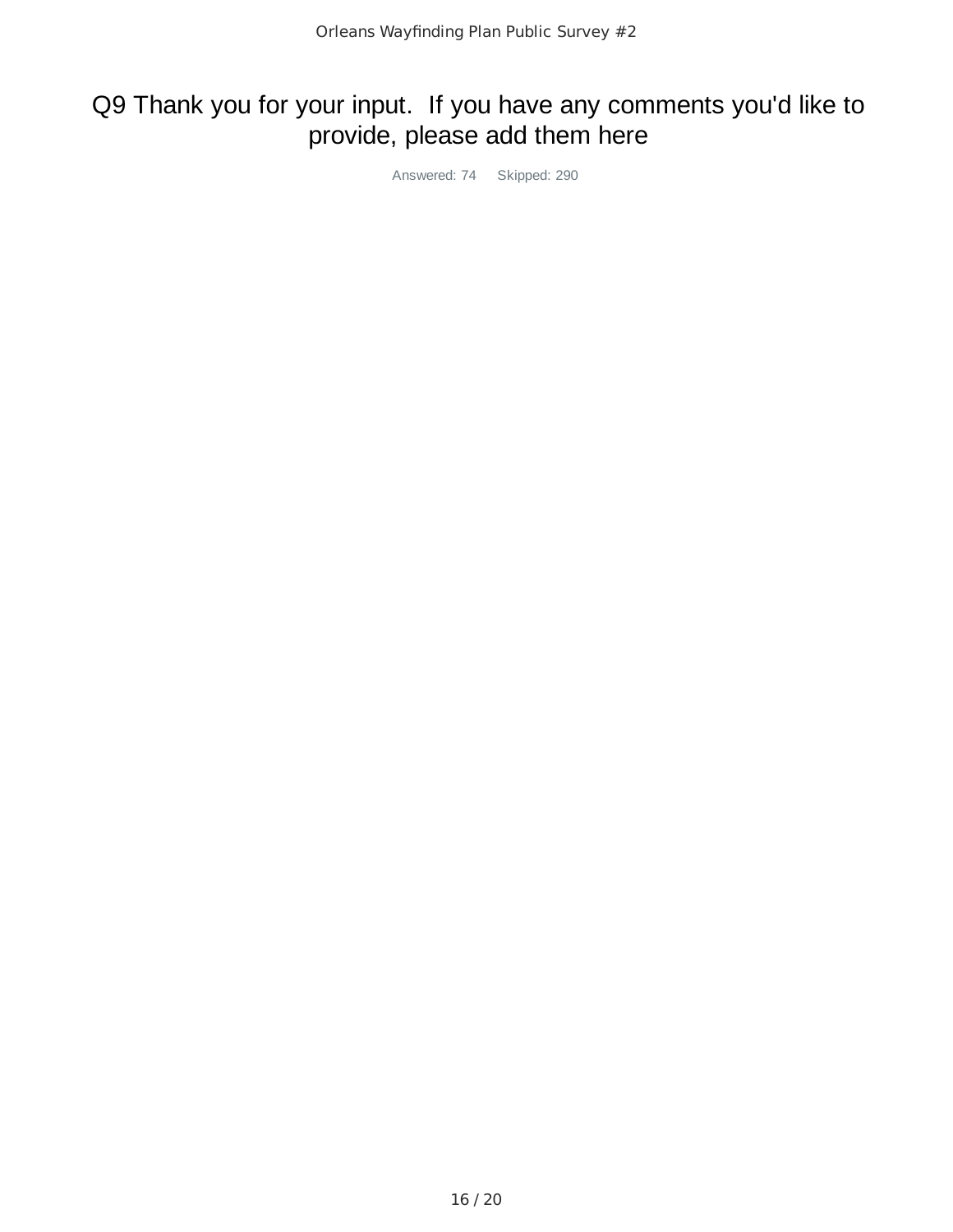# Q9 Thank you for your input. If you have any comments you'd like to provide, please add them here

Answered: 74 Skipped: 290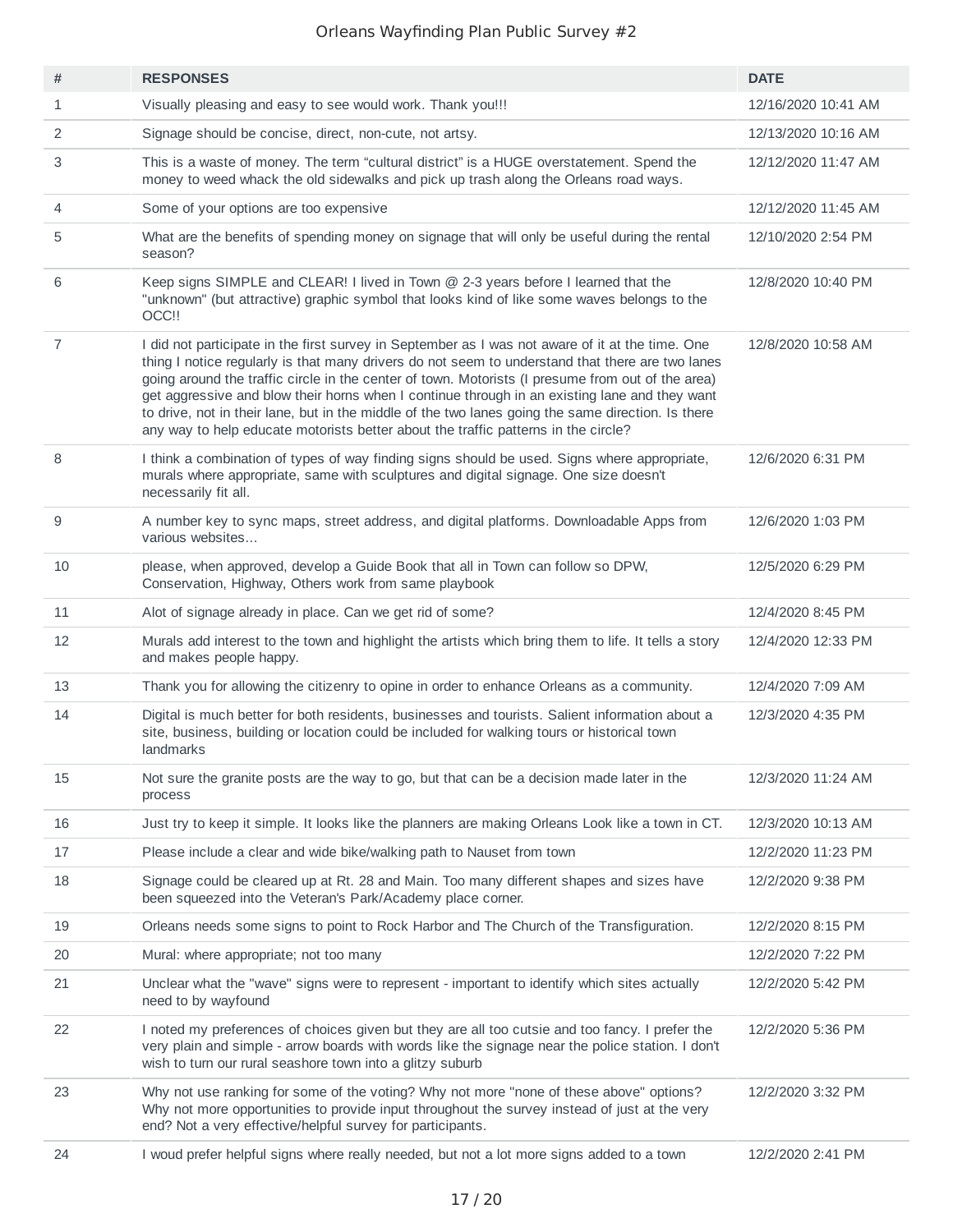| #              | <b>RESPONSES</b>                                                                                                                                                                                                                                                                                                                                                                                                                                                                                                                                                                                       | <b>DATE</b>         |
|----------------|--------------------------------------------------------------------------------------------------------------------------------------------------------------------------------------------------------------------------------------------------------------------------------------------------------------------------------------------------------------------------------------------------------------------------------------------------------------------------------------------------------------------------------------------------------------------------------------------------------|---------------------|
| $\mathbf{1}$   | Visually pleasing and easy to see would work. Thank you!!!                                                                                                                                                                                                                                                                                                                                                                                                                                                                                                                                             | 12/16/2020 10:41 AM |
| 2              | Signage should be concise, direct, non-cute, not artsy.                                                                                                                                                                                                                                                                                                                                                                                                                                                                                                                                                | 12/13/2020 10:16 AM |
| 3              | This is a waste of money. The term "cultural district" is a HUGE overstatement. Spend the<br>money to weed whack the old sidewalks and pick up trash along the Orleans road ways.                                                                                                                                                                                                                                                                                                                                                                                                                      | 12/12/2020 11:47 AM |
| 4              | Some of your options are too expensive                                                                                                                                                                                                                                                                                                                                                                                                                                                                                                                                                                 | 12/12/2020 11:45 AM |
| 5              | What are the benefits of spending money on signage that will only be useful during the rental<br>season?                                                                                                                                                                                                                                                                                                                                                                                                                                                                                               | 12/10/2020 2:54 PM  |
| 6              | Keep signs SIMPLE and CLEAR! I lived in Town @ 2-3 years before I learned that the<br>"unknown" (but attractive) graphic symbol that looks kind of like some waves belongs to the<br>OCC !!                                                                                                                                                                                                                                                                                                                                                                                                            | 12/8/2020 10:40 PM  |
| $\overline{7}$ | I did not participate in the first survey in September as I was not aware of it at the time. One<br>thing I notice regularly is that many drivers do not seem to understand that there are two lanes<br>going around the traffic circle in the center of town. Motorists (I presume from out of the area)<br>get aggressive and blow their horns when I continue through in an existing lane and they want<br>to drive, not in their lane, but in the middle of the two lanes going the same direction. Is there<br>any way to help educate motorists better about the traffic patterns in the circle? | 12/8/2020 10:58 AM  |
| 8              | I think a combination of types of way finding signs should be used. Signs where appropriate,<br>murals where appropriate, same with sculptures and digital signage. One size doesn't<br>necessarily fit all.                                                                                                                                                                                                                                                                                                                                                                                           | 12/6/2020 6:31 PM   |
| 9              | A number key to sync maps, street address, and digital platforms. Downloadable Apps from<br>various websites                                                                                                                                                                                                                                                                                                                                                                                                                                                                                           | 12/6/2020 1:03 PM   |
| 10             | please, when approved, develop a Guide Book that all in Town can follow so DPW,<br>Conservation, Highway, Others work from same playbook                                                                                                                                                                                                                                                                                                                                                                                                                                                               | 12/5/2020 6:29 PM   |
| 11             | Alot of signage already in place. Can we get rid of some?                                                                                                                                                                                                                                                                                                                                                                                                                                                                                                                                              | 12/4/2020 8:45 PM   |
| 12             | Murals add interest to the town and highlight the artists which bring them to life. It tells a story<br>and makes people happy.                                                                                                                                                                                                                                                                                                                                                                                                                                                                        | 12/4/2020 12:33 PM  |
| 13             | Thank you for allowing the citizenry to opine in order to enhance Orleans as a community.                                                                                                                                                                                                                                                                                                                                                                                                                                                                                                              | 12/4/2020 7:09 AM   |
| 14             | Digital is much better for both residents, businesses and tourists. Salient information about a<br>site, business, building or location could be included for walking tours or historical town<br>landmarks                                                                                                                                                                                                                                                                                                                                                                                            | 12/3/2020 4:35 PM   |
| 15             | Not sure the granite posts are the way to go, but that can be a decision made later in the<br>process                                                                                                                                                                                                                                                                                                                                                                                                                                                                                                  | 12/3/2020 11:24 AM  |
| 16             | Just try to keep it simple. It looks like the planners are making Orleans Look like a town in CT.                                                                                                                                                                                                                                                                                                                                                                                                                                                                                                      | 12/3/2020 10:13 AM  |
| 17             | Please include a clear and wide bike/walking path to Nauset from town                                                                                                                                                                                                                                                                                                                                                                                                                                                                                                                                  | 12/2/2020 11:23 PM  |
| 18             | Signage could be cleared up at Rt. 28 and Main. Too many different shapes and sizes have<br>been squeezed into the Veteran's Park/Academy place corner.                                                                                                                                                                                                                                                                                                                                                                                                                                                | 12/2/2020 9:38 PM   |
| 19             | Orleans needs some signs to point to Rock Harbor and The Church of the Transfiguration.                                                                                                                                                                                                                                                                                                                                                                                                                                                                                                                | 12/2/2020 8:15 PM   |
| 20             | Mural: where appropriate; not too many                                                                                                                                                                                                                                                                                                                                                                                                                                                                                                                                                                 | 12/2/2020 7:22 PM   |
| 21             | Unclear what the "wave" signs were to represent - important to identify which sites actually<br>need to by wayfound                                                                                                                                                                                                                                                                                                                                                                                                                                                                                    | 12/2/2020 5:42 PM   |
| 22             | I noted my preferences of choices given but they are all too cutsie and too fancy. I prefer the<br>very plain and simple - arrow boards with words like the signage near the police station. I don't<br>wish to turn our rural seashore town into a glitzy suburb                                                                                                                                                                                                                                                                                                                                      | 12/2/2020 5:36 PM   |
| 23             | Why not use ranking for some of the voting? Why not more "none of these above" options?<br>Why not more opportunities to provide input throughout the survey instead of just at the very<br>end? Not a very effective/helpful survey for participants.                                                                                                                                                                                                                                                                                                                                                 | 12/2/2020 3:32 PM   |
| 24             | I woud prefer helpful signs where really needed, but not a lot more signs added to a town                                                                                                                                                                                                                                                                                                                                                                                                                                                                                                              | 12/2/2020 2:41 PM   |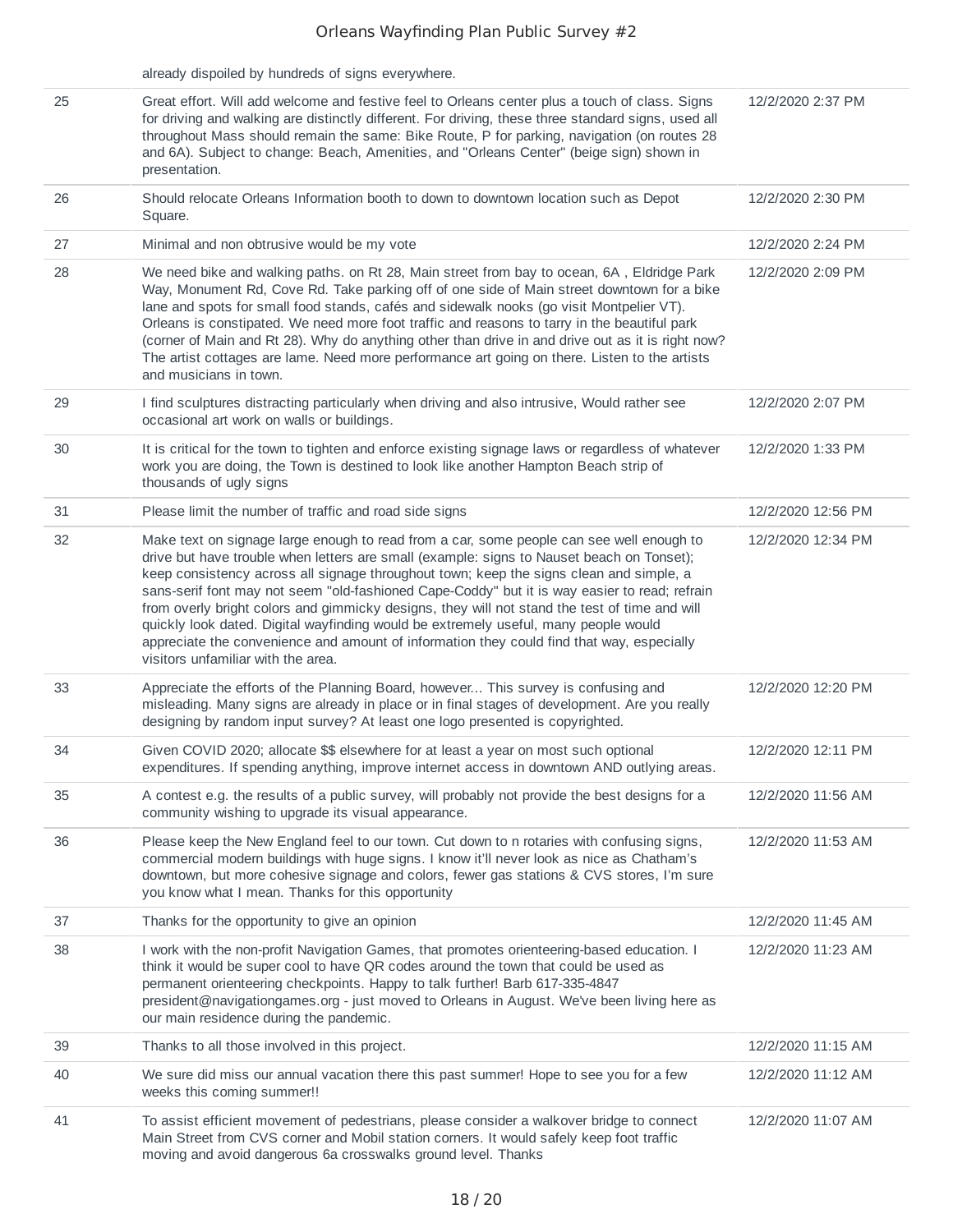|    | already dispoiled by hundreds of signs everywhere.                                                                                                                                                                                                                                                                                                                                                                                                                                                                                                                                                                                                                                                           |                    |
|----|--------------------------------------------------------------------------------------------------------------------------------------------------------------------------------------------------------------------------------------------------------------------------------------------------------------------------------------------------------------------------------------------------------------------------------------------------------------------------------------------------------------------------------------------------------------------------------------------------------------------------------------------------------------------------------------------------------------|--------------------|
| 25 | Great effort. Will add welcome and festive feel to Orleans center plus a touch of class. Signs<br>for driving and walking are distinctly different. For driving, these three standard signs, used all<br>throughout Mass should remain the same: Bike Route, P for parking, navigation (on routes 28<br>and 6A). Subject to change: Beach, Amenities, and "Orleans Center" (beige sign) shown in<br>presentation.                                                                                                                                                                                                                                                                                            | 12/2/2020 2:37 PM  |
| 26 | Should relocate Orleans Information booth to down to downtown location such as Depot<br>Square.                                                                                                                                                                                                                                                                                                                                                                                                                                                                                                                                                                                                              | 12/2/2020 2:30 PM  |
| 27 | Minimal and non obtrusive would be my vote                                                                                                                                                                                                                                                                                                                                                                                                                                                                                                                                                                                                                                                                   | 12/2/2020 2:24 PM  |
| 28 | We need bike and walking paths. on Rt 28, Main street from bay to ocean, 6A, Eldridge Park<br>Way, Monument Rd, Cove Rd. Take parking off of one side of Main street downtown for a bike<br>lane and spots for small food stands, cafés and sidewalk nooks (go visit Montpelier VT).<br>Orleans is constipated. We need more foot traffic and reasons to tarry in the beautiful park<br>(corner of Main and Rt 28). Why do anything other than drive in and drive out as it is right now?<br>The artist cottages are lame. Need more performance art going on there. Listen to the artists<br>and musicians in town.                                                                                         | 12/2/2020 2:09 PM  |
| 29 | I find sculptures distracting particularly when driving and also intrusive, Would rather see<br>occasional art work on walls or buildings.                                                                                                                                                                                                                                                                                                                                                                                                                                                                                                                                                                   | 12/2/2020 2:07 PM  |
| 30 | It is critical for the town to tighten and enforce existing signage laws or regardless of whatever<br>work you are doing, the Town is destined to look like another Hampton Beach strip of<br>thousands of ugly signs                                                                                                                                                                                                                                                                                                                                                                                                                                                                                        | 12/2/2020 1:33 PM  |
| 31 | Please limit the number of traffic and road side signs                                                                                                                                                                                                                                                                                                                                                                                                                                                                                                                                                                                                                                                       | 12/2/2020 12:56 PM |
| 32 | Make text on signage large enough to read from a car, some people can see well enough to<br>drive but have trouble when letters are small (example: signs to Nauset beach on Tonset);<br>keep consistency across all signage throughout town; keep the signs clean and simple, a<br>sans-serif font may not seem "old-fashioned Cape-Coddy" but it is way easier to read; refrain<br>from overly bright colors and gimmicky designs, they will not stand the test of time and will<br>quickly look dated. Digital wayfinding would be extremely useful, many people would<br>appreciate the convenience and amount of information they could find that way, especially<br>visitors unfamiliar with the area. | 12/2/2020 12:34 PM |
| 33 | Appreciate the efforts of the Planning Board, however This survey is confusing and<br>misleading. Many signs are already in place or in final stages of development. Are you really<br>designing by random input survey? At least one logo presented is copyrighted.                                                                                                                                                                                                                                                                                                                                                                                                                                         | 12/2/2020 12:20 PM |
| 34 | Given COVID 2020; allocate \$\$ elsewhere for at least a year on most such optional<br>expenditures. If spending anything, improve internet access in downtown AND outlying areas.                                                                                                                                                                                                                                                                                                                                                                                                                                                                                                                           | 12/2/2020 12:11 PM |
| 35 | A contest e.g. the results of a public survey, will probably not provide the best designs for a<br>community wishing to upgrade its visual appearance.                                                                                                                                                                                                                                                                                                                                                                                                                                                                                                                                                       | 12/2/2020 11:56 AM |
| 36 | Please keep the New England feel to our town. Cut down to n rotaries with confusing signs,<br>commercial modern buildings with huge signs. I know it'll never look as nice as Chatham's<br>downtown, but more cohesive signage and colors, fewer gas stations & CVS stores, I'm sure<br>you know what I mean. Thanks for this opportunity                                                                                                                                                                                                                                                                                                                                                                    | 12/2/2020 11:53 AM |
| 37 | Thanks for the opportunity to give an opinion                                                                                                                                                                                                                                                                                                                                                                                                                                                                                                                                                                                                                                                                | 12/2/2020 11:45 AM |
| 38 | I work with the non-profit Navigation Games, that promotes orienteering-based education. I<br>think it would be super cool to have QR codes around the town that could be used as<br>permanent orienteering checkpoints. Happy to talk further! Barb 617-335-4847<br>president@navigationgames.org - just moved to Orleans in August. We've been living here as<br>our main residence during the pandemic.                                                                                                                                                                                                                                                                                                   | 12/2/2020 11:23 AM |
| 39 | Thanks to all those involved in this project.                                                                                                                                                                                                                                                                                                                                                                                                                                                                                                                                                                                                                                                                | 12/2/2020 11:15 AM |
| 40 | We sure did miss our annual vacation there this past summer! Hope to see you for a few<br>weeks this coming summer!!                                                                                                                                                                                                                                                                                                                                                                                                                                                                                                                                                                                         | 12/2/2020 11:12 AM |
| 41 | To assist efficient movement of pedestrians, please consider a walkover bridge to connect<br>Main Street from CVS corner and Mobil station corners. It would safely keep foot traffic<br>moving and avoid dangerous 6a crosswalks ground level. Thanks                                                                                                                                                                                                                                                                                                                                                                                                                                                       | 12/2/2020 11:07 AM |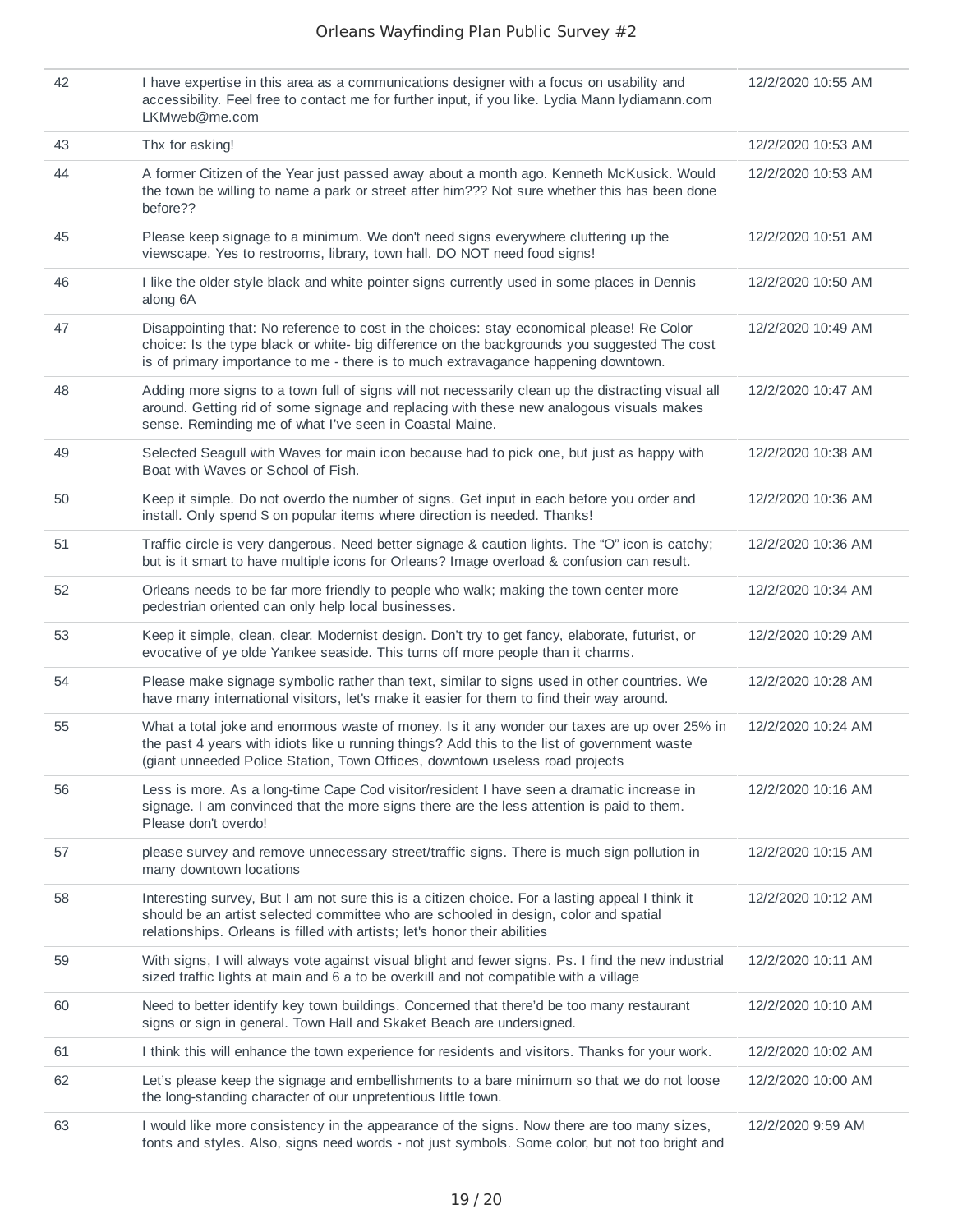| 42 | I have expertise in this area as a communications designer with a focus on usability and<br>accessibility. Feel free to contact me for further input, if you like. Lydia Mann lydiamann.com<br>LKMweb@me.com                                                                    | 12/2/2020 10:55 AM |
|----|---------------------------------------------------------------------------------------------------------------------------------------------------------------------------------------------------------------------------------------------------------------------------------|--------------------|
| 43 | Thx for asking!                                                                                                                                                                                                                                                                 | 12/2/2020 10:53 AM |
| 44 | A former Citizen of the Year just passed away about a month ago. Kenneth McKusick. Would<br>the town be willing to name a park or street after him??? Not sure whether this has been done<br>before??                                                                           | 12/2/2020 10:53 AM |
| 45 | Please keep signage to a minimum. We don't need signs everywhere cluttering up the<br>viewscape. Yes to restrooms, library, town hall. DO NOT need food signs!                                                                                                                  | 12/2/2020 10:51 AM |
| 46 | I like the older style black and white pointer signs currently used in some places in Dennis<br>along 6A                                                                                                                                                                        | 12/2/2020 10:50 AM |
| 47 | Disappointing that: No reference to cost in the choices: stay economical please! Re Color<br>choice: Is the type black or white- big difference on the backgrounds you suggested The cost<br>is of primary importance to me - there is to much extravagance happening downtown. | 12/2/2020 10:49 AM |
| 48 | Adding more signs to a town full of signs will not necessarily clean up the distracting visual all<br>around. Getting rid of some signage and replacing with these new analogous visuals makes<br>sense. Reminding me of what I've seen in Coastal Maine.                       | 12/2/2020 10:47 AM |
| 49 | Selected Seagull with Waves for main icon because had to pick one, but just as happy with<br>Boat with Waves or School of Fish.                                                                                                                                                 | 12/2/2020 10:38 AM |
| 50 | Keep it simple. Do not overdo the number of signs. Get input in each before you order and<br>install. Only spend \$ on popular items where direction is needed. Thanks!                                                                                                         | 12/2/2020 10:36 AM |
| 51 | Traffic circle is very dangerous. Need better signage & caution lights. The "O" icon is catchy;<br>but is it smart to have multiple icons for Orleans? Image overload & confusion can result.                                                                                   | 12/2/2020 10:36 AM |
| 52 | Orleans needs to be far more friendly to people who walk; making the town center more<br>pedestrian oriented can only help local businesses.                                                                                                                                    | 12/2/2020 10:34 AM |
| 53 | Keep it simple, clean, clear. Modernist design. Don't try to get fancy, elaborate, futurist, or<br>evocative of ye olde Yankee seaside. This turns off more people than it charms.                                                                                              | 12/2/2020 10:29 AM |
| 54 | Please make signage symbolic rather than text, similar to signs used in other countries. We<br>have many international visitors, let's make it easier for them to find their way around.                                                                                        | 12/2/2020 10:28 AM |
| 55 | What a total joke and enormous waste of money. Is it any wonder our taxes are up over 25% in<br>the past 4 years with idiots like u running things? Add this to the list of government waste<br>(giant unneeded Police Station, Town Offices, downtown useless road projects    | 12/2/2020 10:24 AM |
| 56 | Less is more. As a long-time Cape Cod visitor/resident I have seen a dramatic increase in<br>signage. I am convinced that the more signs there are the less attention is paid to them.<br>Please don't overdo!                                                                  | 12/2/2020 10:16 AM |
| 57 | please survey and remove unnecessary street/traffic signs. There is much sign pollution in<br>many downtown locations                                                                                                                                                           | 12/2/2020 10:15 AM |
| 58 | Interesting survey, But I am not sure this is a citizen choice. For a lasting appeal I think it<br>should be an artist selected committee who are schooled in design, color and spatial<br>relationships. Orleans is filled with artists; let's honor their abilities           | 12/2/2020 10:12 AM |
| 59 | With signs, I will always vote against visual blight and fewer signs. Ps. I find the new industrial<br>sized traffic lights at main and 6 a to be overkill and not compatible with a village                                                                                    | 12/2/2020 10:11 AM |
| 60 | Need to better identify key town buildings. Concerned that there'd be too many restaurant<br>signs or sign in general. Town Hall and Skaket Beach are undersigned.                                                                                                              | 12/2/2020 10:10 AM |
| 61 | I think this will enhance the town experience for residents and visitors. Thanks for your work.                                                                                                                                                                                 | 12/2/2020 10:02 AM |
| 62 | Let's please keep the signage and embellishments to a bare minimum so that we do not loose<br>the long-standing character of our unpretentious little town.                                                                                                                     | 12/2/2020 10:00 AM |
| 63 | I would like more consistency in the appearance of the signs. Now there are too many sizes,<br>fonts and styles. Also, signs need words - not just symbols. Some color, but not too bright and                                                                                  | 12/2/2020 9:59 AM  |